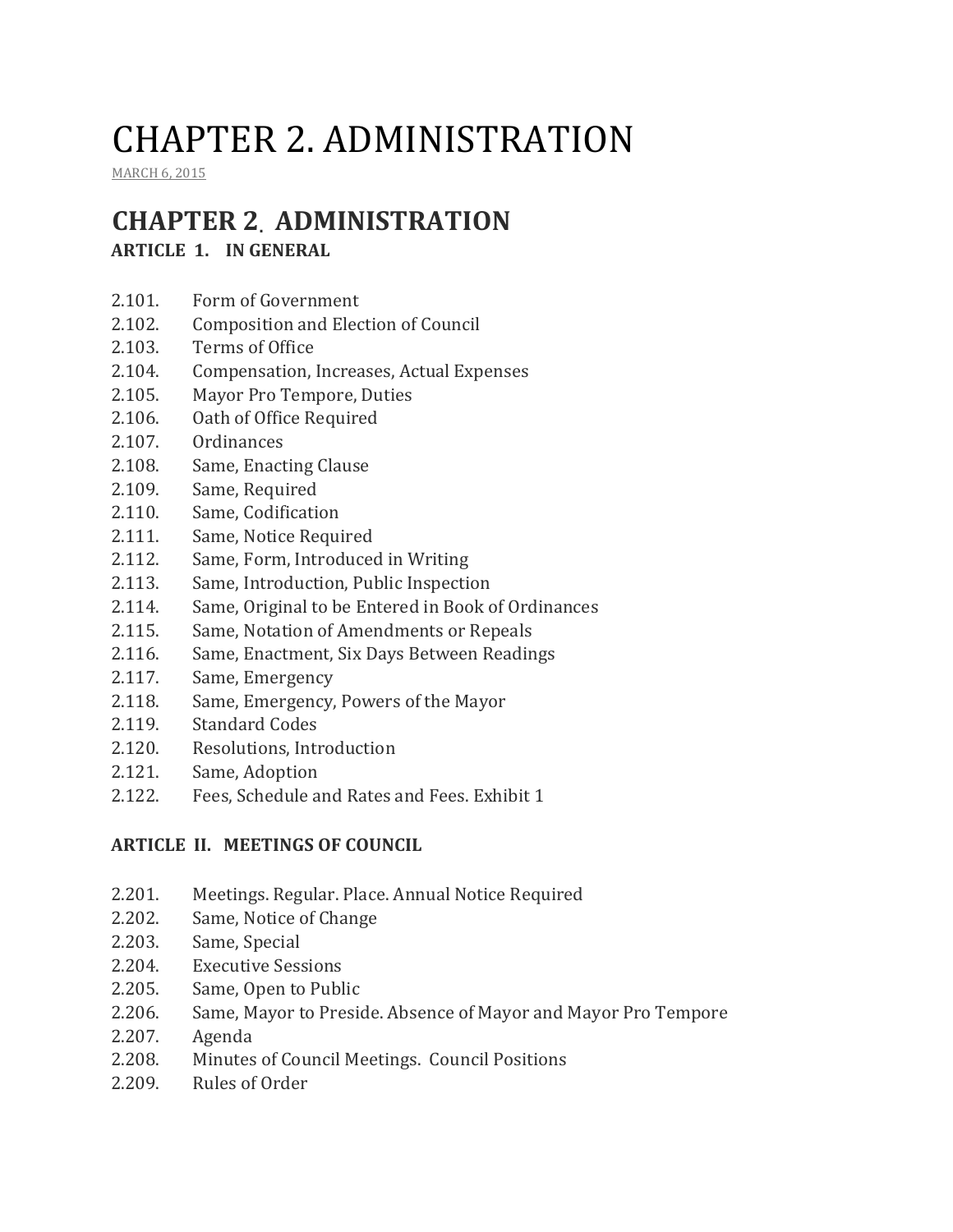# CHAPTER 2. ADMINISTRATION

MARCH 6, 2015

## **CHAPTER 2. ADMINISTRATION**

## **ARTICLE 1. IN GENERAL**

- 2.101. Form of Government
- 2.102. Composition and Election of Council
- 2.103. Terms of Office
- 2.104. Compensation, Increases, Actual Expenses
- 2.105. Mayor Pro Tempore, Duties
- 2.106. Oath of Office Required
- 2.107. Ordinances
- 2.108. Same, Enacting Clause
- 2.109. Same, Required
- 2.110. Same, Codification
- 2.111. Same, Notice Required
- 2.112. Same, Form, Introduced in Writing
- 2.113. Same, Introduction, Public Inspection
- 2.114. Same, Original to be Entered in Book of Ordinances
- 2.115. Same, Notation of Amendments or Repeals
- 2.116. Same, Enactment, Six Days Between Readings
- 2.117. Same, Emergency
- 2.118. Same, Emergency, Powers of the Mayor
- 2.119. Standard Codes
- 2.120. Resolutions, Introduction
- 2.121. Same, Adoption
- 2.122. Fees, Schedule and Rates and Fees. Exhibit 1

#### **ARTICLE II. MEETINGS OF COUNCIL**

- 2.201. Meetings. Regular. Place. Annual Notice Required
- 2.202. Same, Notice of Change
- 2.203. Same, Special
- 2.204. Executive Sessions
- 2.205. Same, Open to Public
- 2.206. Same, Mayor to Preside. Absence of Mayor and Mayor Pro Tempore
- 2.207. Agenda
- 2.208. Minutes of Council Meetings. Council Positions
- 2.209. Rules of Order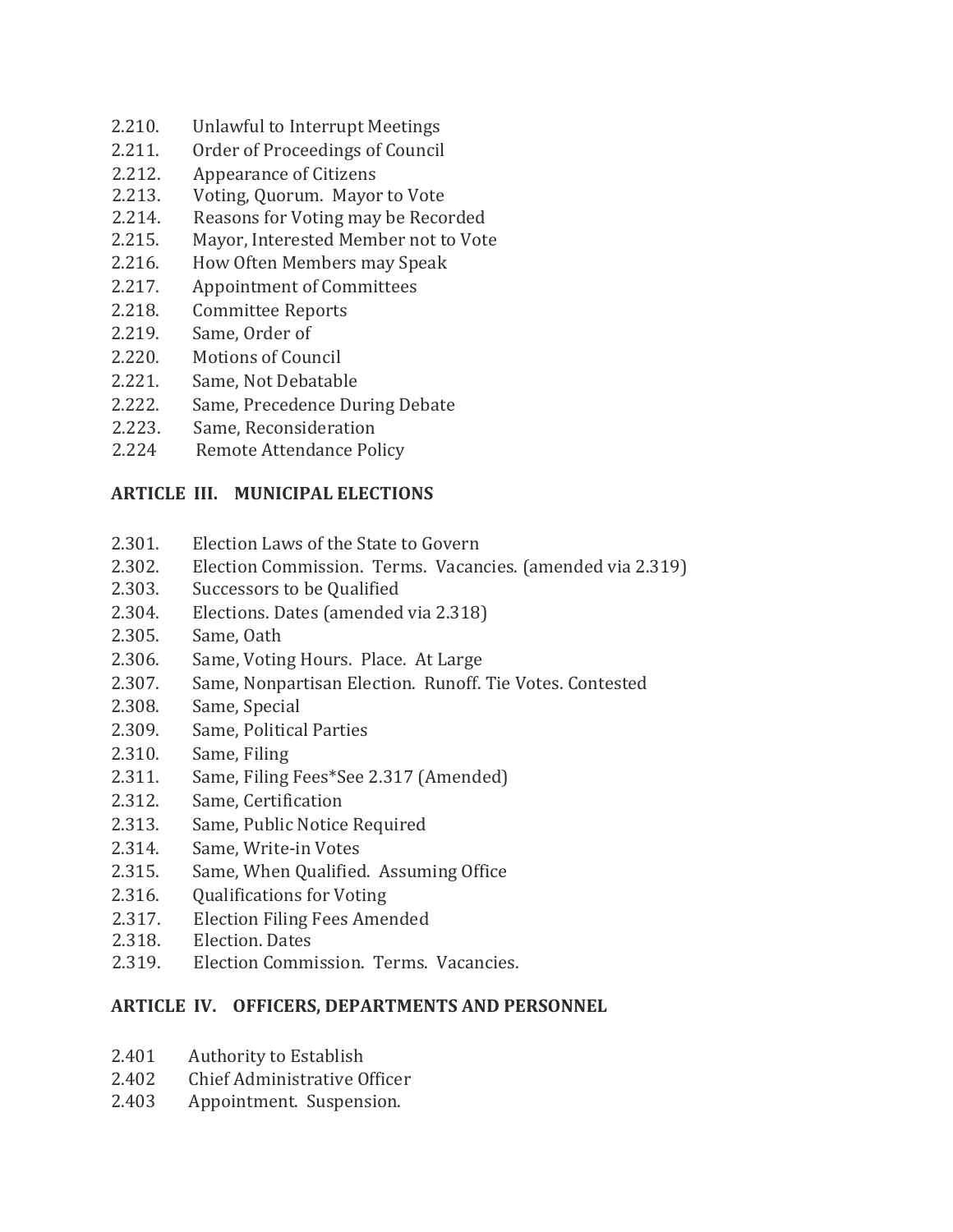- 2.210. Unlawful to Interrupt Meetings
- 2.211. Order of Proceedings of Council
- 2.212. Appearance of Citizens
- 2.213. Voting, Quorum. Mayor to Vote
- 2.214. Reasons for Voting may be Recorded
- 2.215. Mayor, Interested Member not to Vote
- 2.216. How Often Members may Speak
- 2.217. Appointment of Committees
- 2.218. Committee Reports
- 2.219. Same, Order of
- 2.220. Motions of Council
- 2.221. Same, Not Debatable
- 2.222. Same, Precedence During Debate
- 2.223. Same, Reconsideration
- 2.224 Remote Attendance Policy

#### **ARTICLE III. MUNICIPAL ELECTIONS**

- 2.301. Election Laws of the State to Govern
- 2.302. Election Commission. Terms. Vacancies. (amended via 2.319)
- 2.303. Successors to be Qualified
- 2.304. Elections. Dates (amended via 2.318)
- 2.305. Same, Oath
- 2.306. Same, Voting Hours. Place. At Large
- 2.307. Same, Nonpartisan Election. Runoff. Tie Votes. Contested
- 2.308. Same, Special
- 2.309. Same, Political Parties
- 2.310. Same, Filing
- 2.311. Same, Filing Fees\*See 2.317 (Amended)
- 2.312. Same, Certification
- 2.313. Same, Public Notice Required
- 2.314. Same, Write-in Votes
- 2.315. Same, When Qualified. Assuming Office
- 2.316. Qualifications for Voting
- 2.317. Election Filing Fees Amended
- 2.318. Election. Dates
- 2.319. Election Commission. Terms. Vacancies.

#### **ARTICLE IV. OFFICERS, DEPARTMENTS AND PERSONNEL**

- 2.401 Authority to Establish
- 2.402 Chief Administrative Officer
- 2.403 Appointment. Suspension.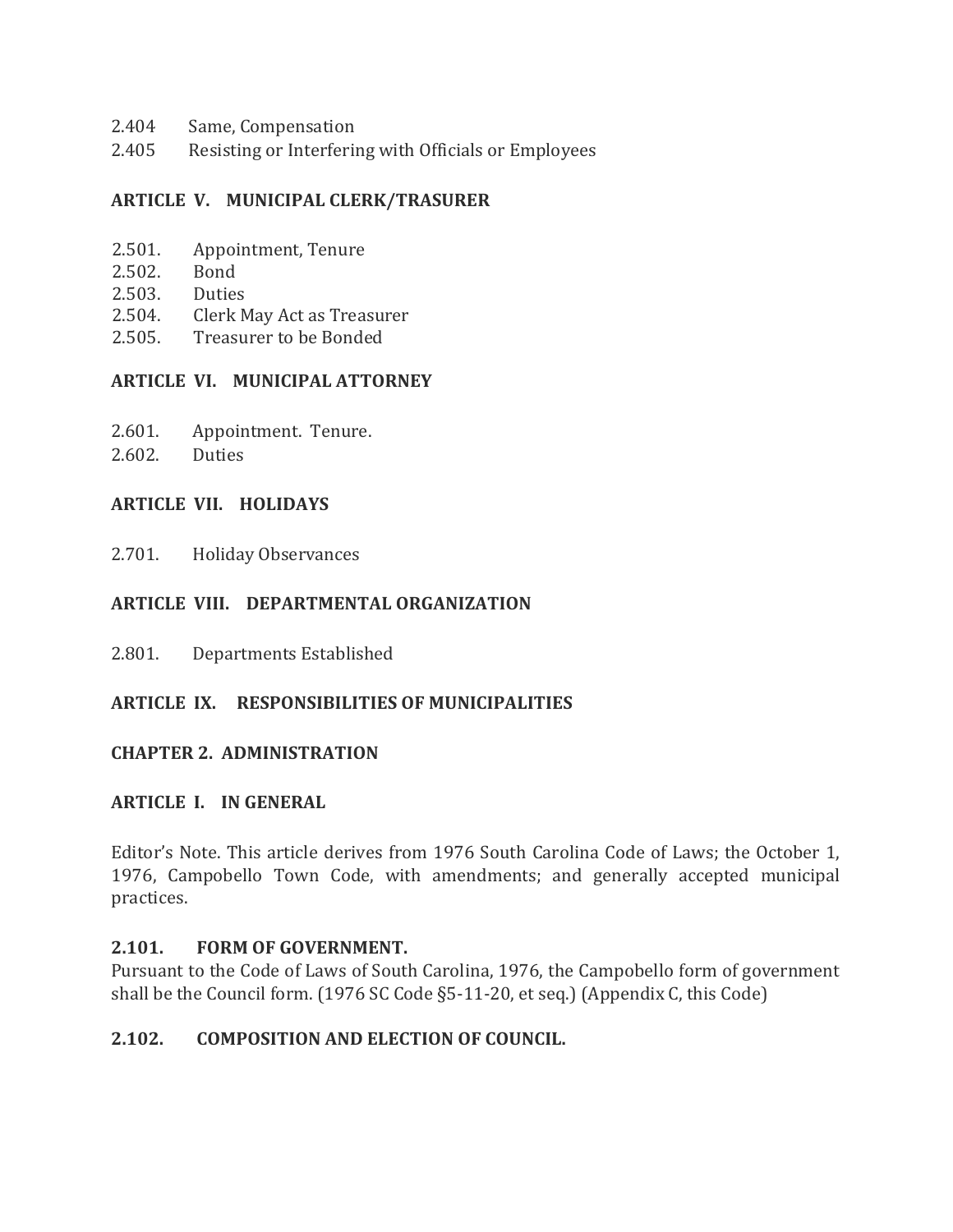- 2.404 Same, Compensation
- 2.405 Resisting or Interfering with Officials or Employees

#### **ARTICLE V. MUNICIPAL CLERK/TRASURER**

- 2.501. Appointment, Tenure
- 2.502. Bond
- 2.503. Duties
- 2.504. Clerk May Act as Treasurer
- 2.505. Treasurer to be Bonded

#### **ARTICLE VI. MUNICIPAL ATTORNEY**

- 2.601. Appointment. Tenure.
- 2.602. Duties

#### **ARTICLE VII. HOLIDAYS**

2.701. Holiday Observances

#### **ARTICLE VIII. DEPARTMENTAL ORGANIZATION**

2.801. Departments Established

#### **ARTICLE IX. RESPONSIBILITIES OF MUNICIPALITIES**

#### **CHAPTER 2. ADMINISTRATION**

#### **ARTICLE I. IN GENERAL**

Editor's Note. This article derives from 1976 South Carolina Code of Laws; the October 1, 1976, Campobello Town Code, with amendments; and generally accepted municipal practices.

#### **2.101. FORM OF GOVERNMENT.**

Pursuant to the Code of Laws of South Carolina, 1976, the Campobello form of government shall be the Council form. (1976 SC Code §5-11-20, et seq.) (Appendix C, this Code)

#### **2.102. COMPOSITION AND ELECTION OF COUNCIL.**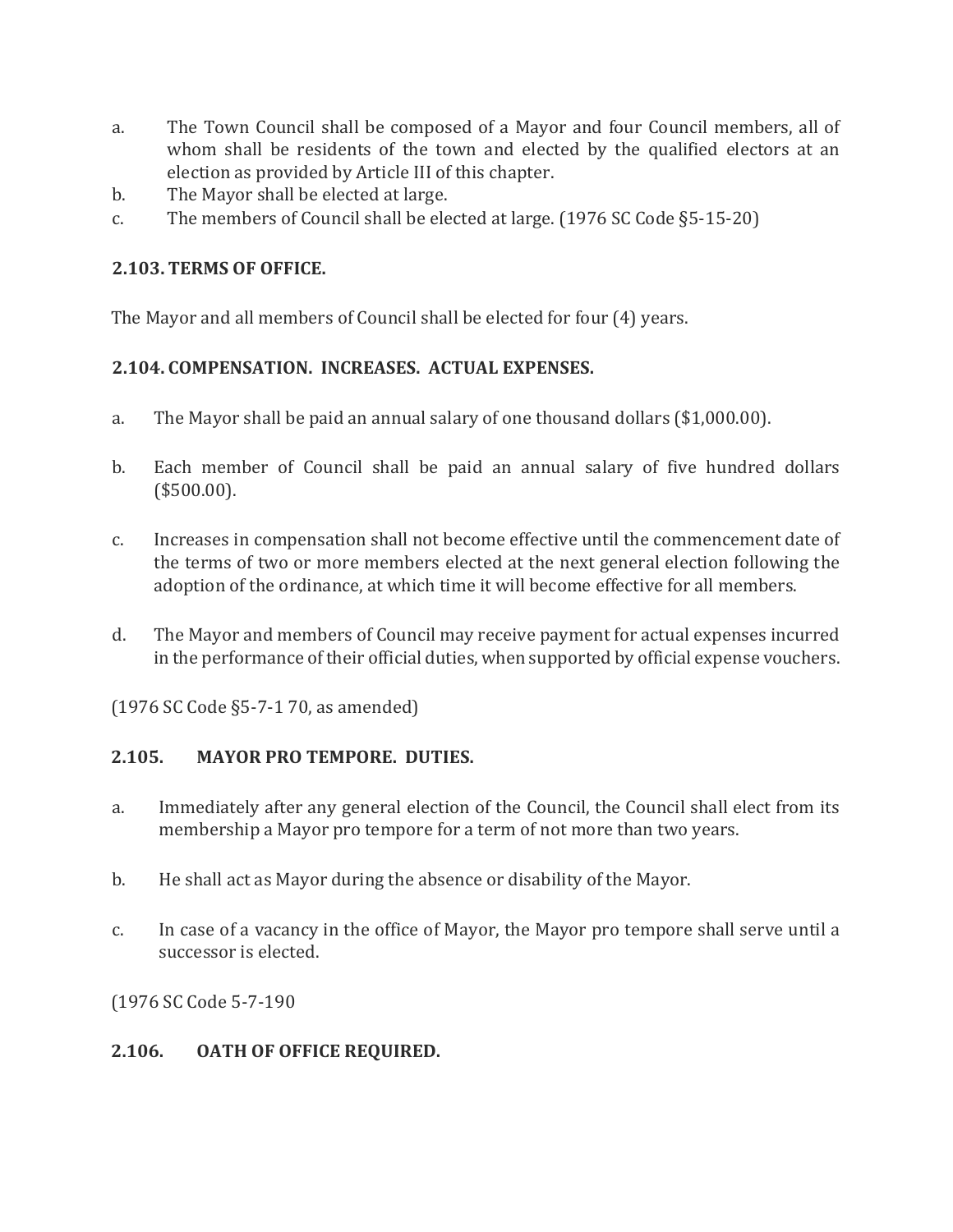- a. The Town Council shall be composed of a Mayor and four Council members, all of whom shall be residents of the town and elected by the qualified electors at an election as provided by Article III of this chapter.
- b. The Mayor shall be elected at large.
- c. The members of Council shall be elected at large. (1976 SC Code §5-15-20)

## **2.103. TERMS OF OFFICE.**

The Mayor and all members of Council shall be elected for four (4) years.

## **2.104. COMPENSATION. INCREASES. ACTUAL EXPENSES.**

- a. The Mayor shall be paid an annual salary of one thousand dollars (\$1,000.00).
- b. Each member of Council shall be paid an annual salary of five hundred dollars (\$500.00).
- c. Increases in compensation shall not become effective until the commencement date of the terms of two or more members elected at the next general election following the adoption of the ordinance, at which time it will become effective for all members.
- d. The Mayor and members of Council may receive payment for actual expenses incurred in the performance of their official duties, when supported by official expense vouchers.

(1976 SC Code §5-7-1 70, as amended)

## **2.105. MAYOR PRO TEMPORE. DUTIES.**

- a. Immediately after any general election of the Council, the Council shall elect from its membership a Mayor pro tempore for a term of not more than two years.
- b. He shall act as Mayor during the absence or disability of the Mayor.
- c. In case of a vacancy in the office of Mayor, the Mayor pro tempore shall serve until a successor is elected.

(1976 SC Code 5-7-190

#### **2.106. OATH OF OFFICE REQUIRED.**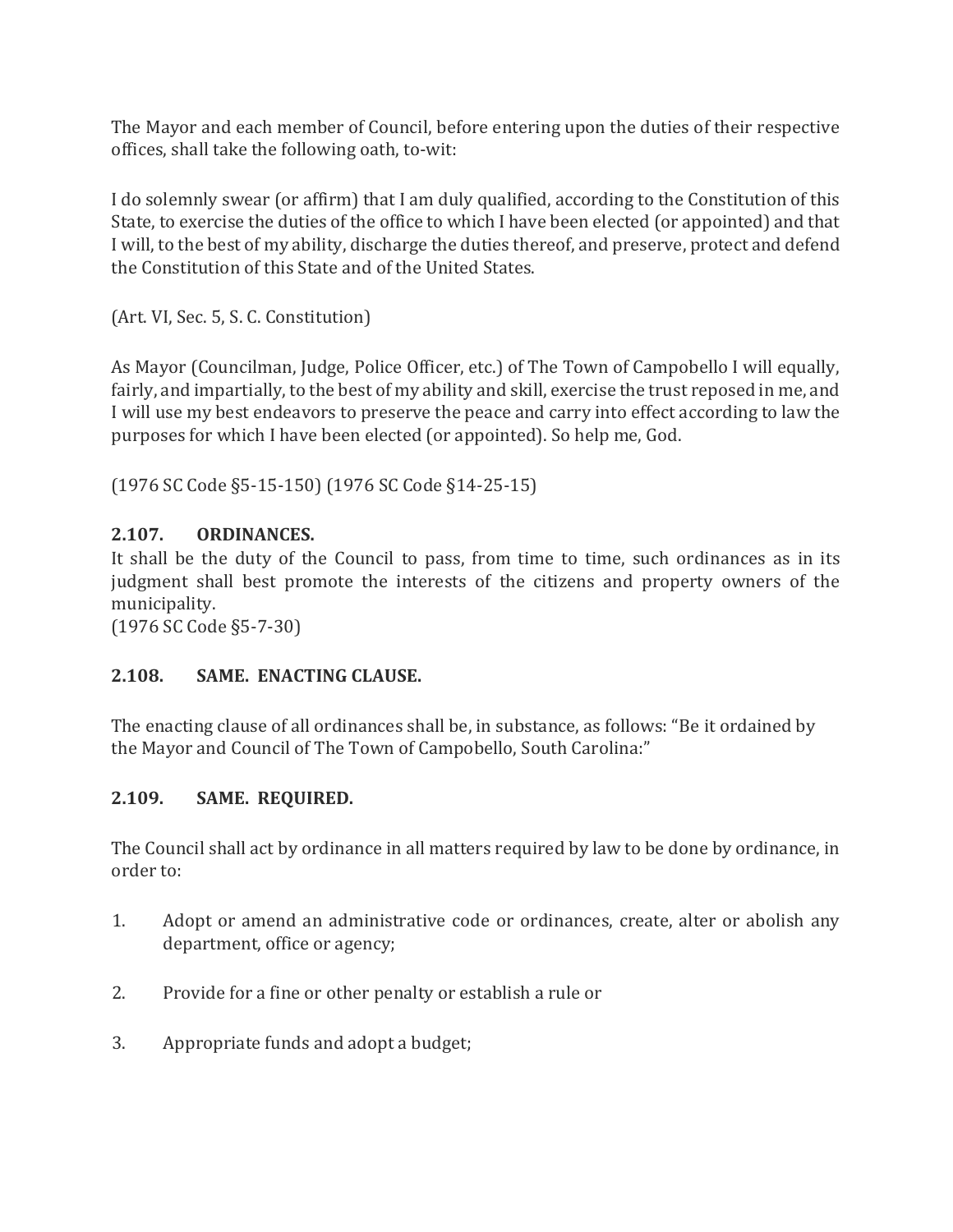The Mayor and each member of Council, before entering upon the duties of their respective offices, shall take the following oath, to-wit:

I do solemnly swear (or affirm) that I am duly qualified, according to the Constitution of this State, to exercise the duties of the office to which I have been elected (or appointed) and that I will, to the best of my ability, discharge the duties thereof, and preserve, protect and defend the Constitution of this State and of the United States.

(Art. VI, Sec. 5, S. C. Constitution)

As Mayor (Councilman, Judge, Police Officer, etc.) of The Town of Campobello I will equally, fairly, and impartially, to the best of my ability and skill, exercise the trust reposed in me, and I will use my best endeavors to preserve the peace and carry into effect according to law the purposes for which I have been elected (or appointed). So help me, God.

(1976 SC Code §5-15-150) (1976 SC Code §14-25-15)

## **2.107. ORDINANCES.**

It shall be the duty of the Council to pass, from time to time, such ordinances as in its judgment shall best promote the interests of the citizens and property owners of the municipality.

(1976 SC Code §5-7-30)

#### **2.108. SAME. ENACTING CLAUSE.**

The enacting clause of all ordinances shall be, in substance, as follows: "Be it ordained by the Mayor and Council of The Town of Campobello, South Carolina:"

#### **2.109. SAME. REQUIRED.**

The Council shall act by ordinance in all matters required by law to be done by ordinance, in order to:

- 1. Adopt or amend an administrative code or ordinances, create, alter or abolish any department, office or agency;
- 2. Provide for a fine or other penalty or establish a rule or
- 3. Appropriate funds and adopt a budget;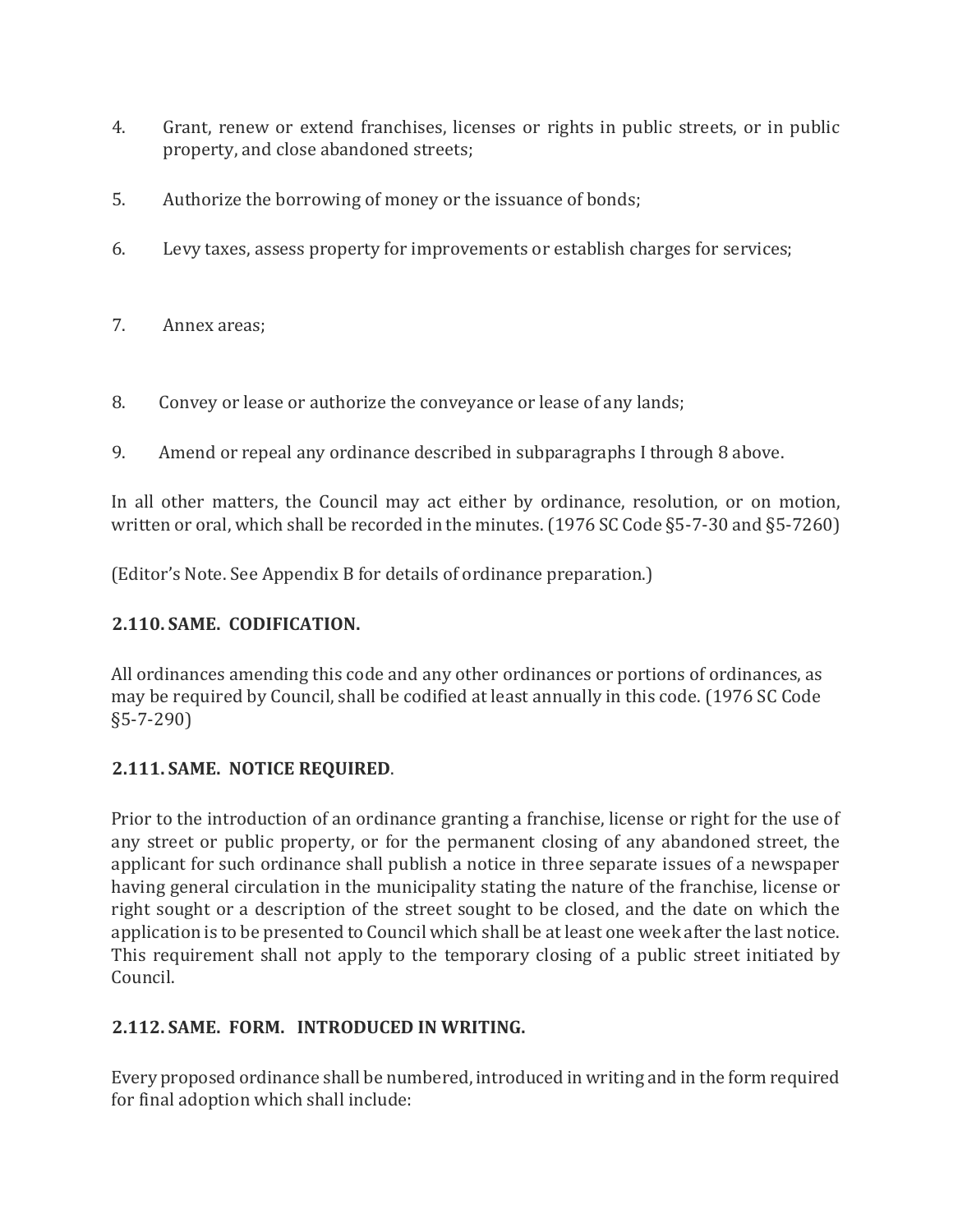- 4. Grant, renew or extend franchises, licenses or rights in public streets, or in public property, and close abandoned streets;
- 5. Authorize the borrowing of money or the issuance of bonds;
- 6. Levy taxes, assess property for improvements or establish charges for services;
- 7. Annex areas;
- 8. Convey or lease or authorize the conveyance or lease of any lands;
- 9. Amend or repeal any ordinance described in subparagraphs I through 8 above.

In all other matters, the Council may act either by ordinance, resolution, or on motion, written or oral, which shall be recorded in the minutes. (1976 SC Code §5-7-30 and §5-7260)

(Editor's Note. See Appendix B for details of ordinance preparation.)

#### **2.110. SAME. CODIFICATION.**

All ordinances amending this code and any other ordinances or portions of ordinances, as may be required by Council, shall be codified at least annually in this code. (1976 SC Code §5-7-290)

#### **2.111. SAME. NOTICE REQUIRED**.

Prior to the introduction of an ordinance granting a franchise, license or right for the use of any street or public property, or for the permanent closing of any abandoned street, the applicant for such ordinance shall publish a notice in three separate issues of a newspaper having general circulation in the municipality stating the nature of the franchise, license or right sought or a description of the street sought to be closed, and the date on which the application is to be presented to Council which shall be at least one week after the last notice. This requirement shall not apply to the temporary closing of a public street initiated by Council.

#### **2.112. SAME. FORM. INTRODUCED IN WRITING.**

Every proposed ordinance shall be numbered, introduced in writing and in the form required for final adoption which shall include: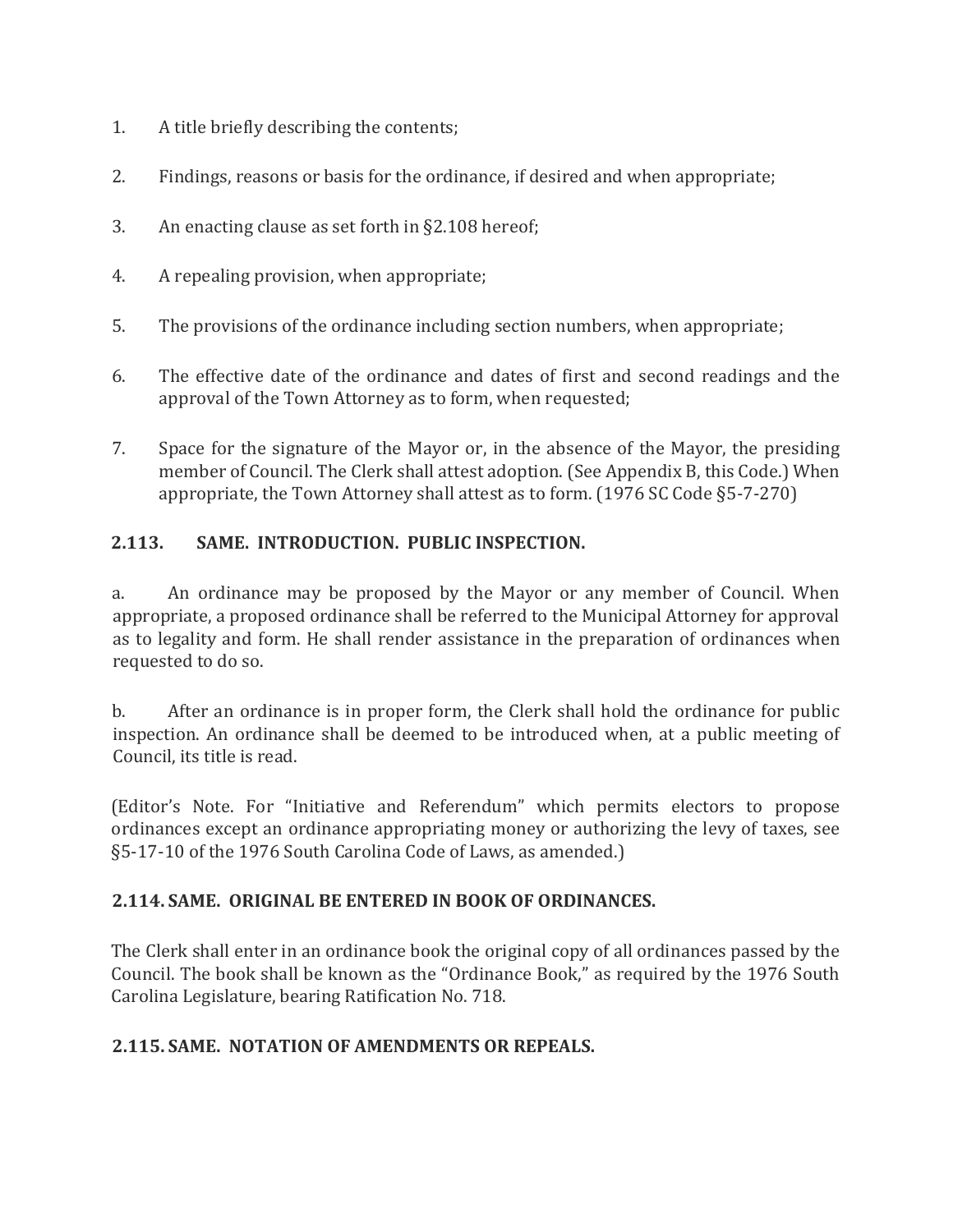- 1. A title briefly describing the contents;
- 2. Findings, reasons or basis for the ordinance, if desired and when appropriate;
- 3. An enacting clause as set forth in §2.108 hereof;
- 4. A repealing provision, when appropriate;
- 5. The provisions of the ordinance including section numbers, when appropriate;
- 6. The effective date of the ordinance and dates of first and second readings and the approval of the Town Attorney as to form, when requested;
- 7. Space for the signature of the Mayor or, in the absence of the Mayor, the presiding member of Council. The Clerk shall attest adoption. (See Appendix B, this Code.) When appropriate, the Town Attorney shall attest as to form. (1976 SC Code §5-7-270)

## **2.113. SAME. INTRODUCTION. PUBLIC INSPECTION.**

a. An ordinance may be proposed by the Mayor or any member of Council. When appropriate, a proposed ordinance shall be referred to the Municipal Attorney for approval as to legality and form. He shall render assistance in the preparation of ordinances when requested to do so.

b. After an ordinance is in proper form, the Clerk shall hold the ordinance for public inspection. An ordinance shall be deemed to be introduced when, at a public meeting of Council, its title is read.

(Editor's Note. For "Initiative and Referendum" which permits electors to propose ordinances except an ordinance appropriating money or authorizing the levy of taxes, see §5-17-10 of the 1976 South Carolina Code of Laws, as amended.)

#### **2.114. SAME. ORIGINAL BE ENTERED IN BOOK OF ORDINANCES.**

The Clerk shall enter in an ordinance book the original copy of all ordinances passed by the Council. The book shall be known as the "Ordinance Book," as required by the 1976 South Carolina Legislature, bearing Ratification No. 718.

#### **2.115. SAME. NOTATION OF AMENDMENTS OR REPEALS.**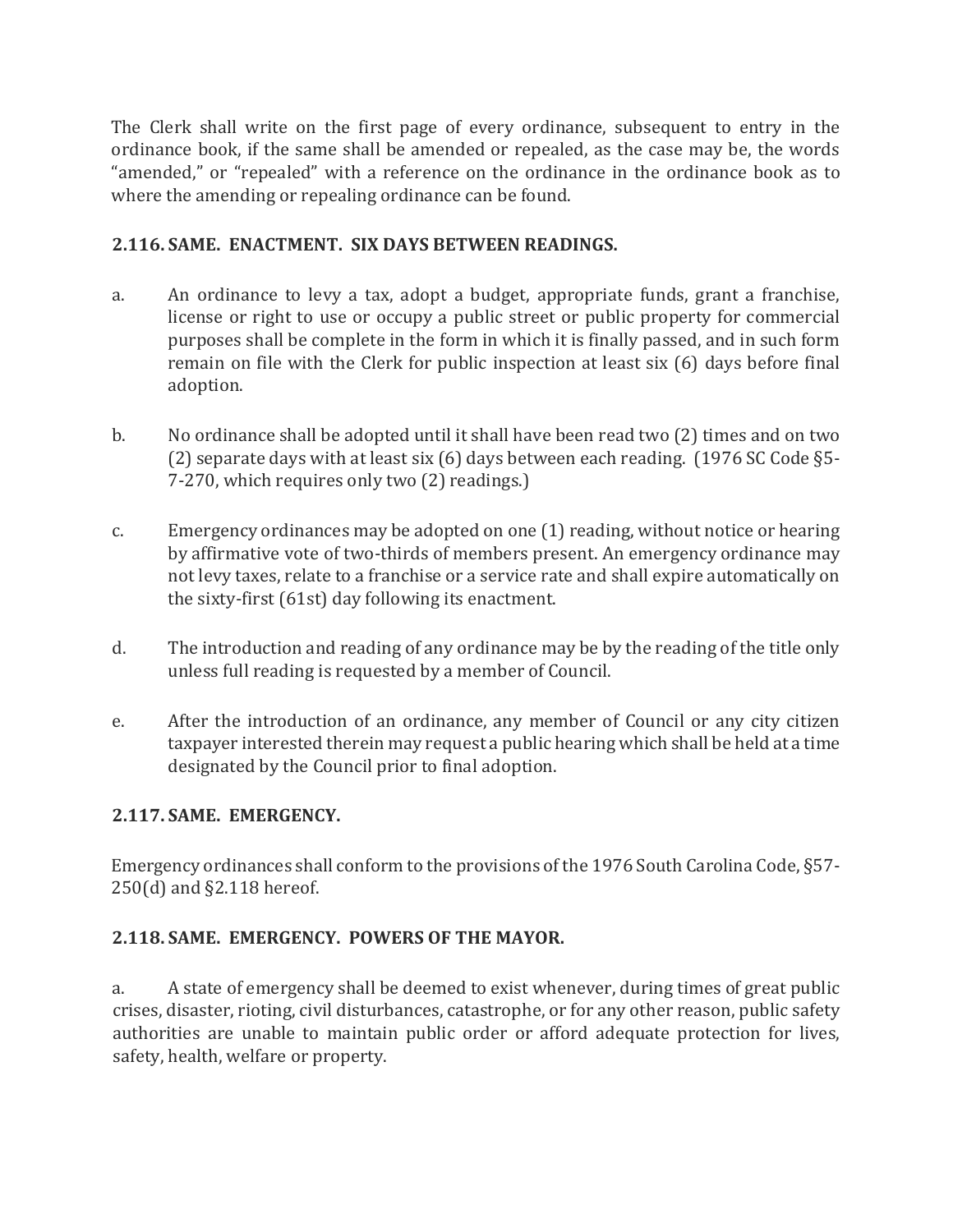The Clerk shall write on the first page of every ordinance, subsequent to entry in the ordinance book, if the same shall be amended or repealed, as the case may be, the words "amended," or "repealed" with a reference on the ordinance in the ordinance book as to where the amending or repealing ordinance can be found.

#### **2.116. SAME. ENACTMENT. SIX DAYS BETWEEN READINGS.**

- a. An ordinance to levy a tax, adopt a budget, appropriate funds, grant a franchise, license or right to use or occupy a public street or public property for commercial purposes shall be complete in the form in which it is finally passed, and in such form remain on file with the Clerk for public inspection at least six (6) days before final adoption.
- b. No ordinance shall be adopted until it shall have been read two (2) times and on two (2) separate days with at least six (6) days between each reading. (1976 SC Code §5- 7-270, which requires only two (2) readings.)
- c. Emergency ordinances may be adopted on one (1) reading, without notice or hearing by affirmative vote of two-thirds of members present. An emergency ordinance may not levy taxes, relate to a franchise or a service rate and shall expire automatically on the sixty-first (61st) day following its enactment.
- d. The introduction and reading of any ordinance may be by the reading of the title only unless full reading is requested by a member of Council.
- e. After the introduction of an ordinance, any member of Council or any city citizen taxpayer interested therein may request a public hearing which shall be held at a time designated by the Council prior to final adoption.

#### **2.117. SAME. EMERGENCY.**

Emergency ordinances shall conform to the provisions of the 1976 South Carolina Code, §57- 250(d) and §2.118 hereof.

#### **2.118. SAME. EMERGENCY. POWERS OF THE MAYOR.**

a. A state of emergency shall be deemed to exist whenever, during times of great public crises, disaster, rioting, civil disturbances, catastrophe, or for any other reason, public safety authorities are unable to maintain public order or afford adequate protection for lives, safety, health, welfare or property.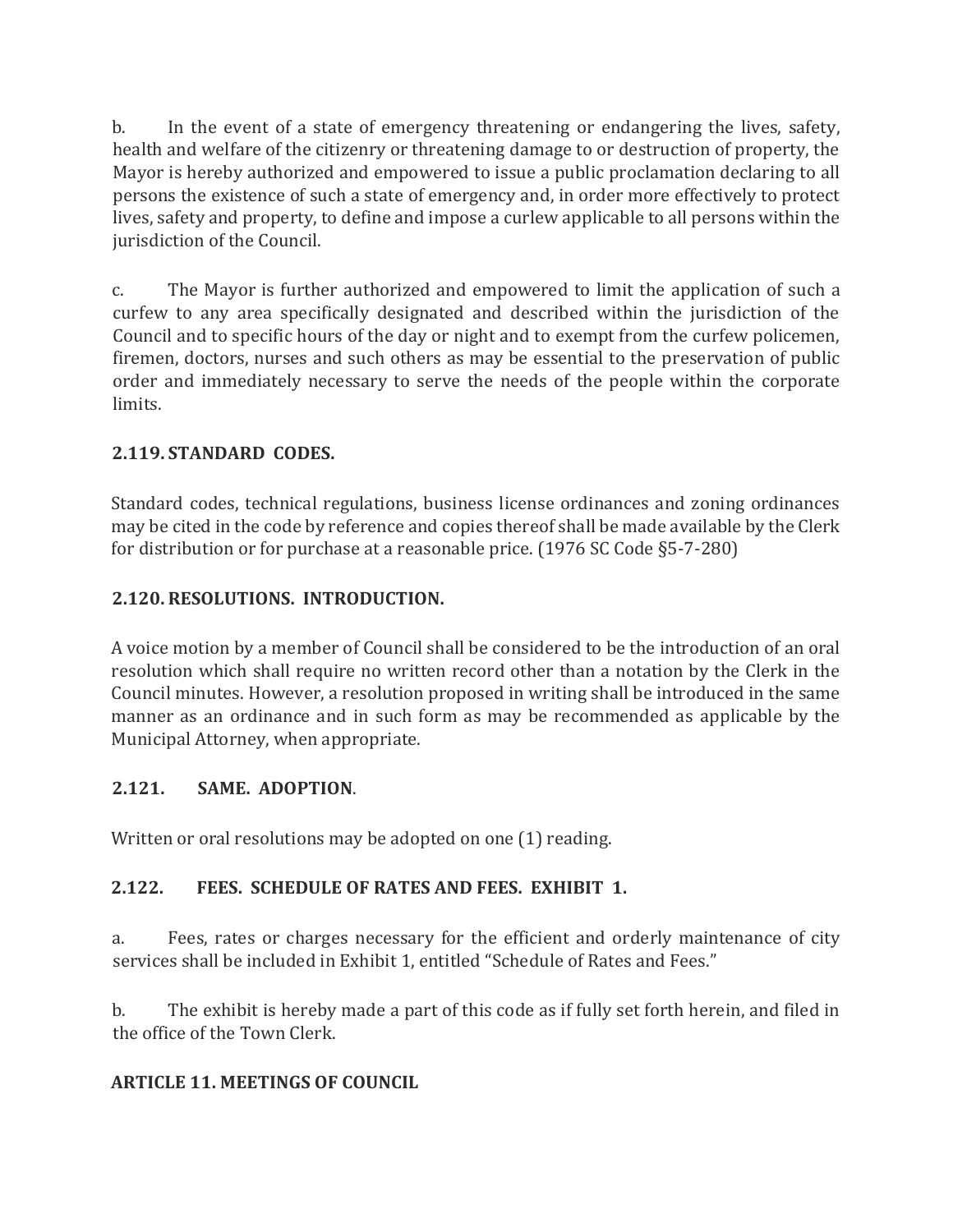b. In the event of a state of emergency threatening or endangering the lives, safety, health and welfare of the citizenry or threatening damage to or destruction of property, the Mayor is hereby authorized and empowered to issue a public proclamation declaring to all persons the existence of such a state of emergency and, in order more effectively to protect lives, safety and property, to define and impose a curlew applicable to all persons within the jurisdiction of the Council.

c. The Mayor is further authorized and empowered to limit the application of such a curfew to any area specifically designated and described within the jurisdiction of the Council and to specific hours of the day or night and to exempt from the curfew policemen, firemen, doctors, nurses and such others as may be essential to the preservation of public order and immediately necessary to serve the needs of the people within the corporate limits.

## **2.119. STANDARD CODES.**

Standard codes, technical regulations, business license ordinances and zoning ordinances may be cited in the code by reference and copies thereof shall be made available by the Clerk for distribution or for purchase at a reasonable price. (1976 SC Code §5-7-280)

#### **2.120. RESOLUTIONS. INTRODUCTION.**

A voice motion by a member of Council shall be considered to be the introduction of an oral resolution which shall require no written record other than a notation by the Clerk in the Council minutes. However, a resolution proposed in writing shall be introduced in the same manner as an ordinance and in such form as may be recommended as applicable by the Municipal Attorney, when appropriate.

#### **2.121. SAME. ADOPTION**.

Written or oral resolutions may be adopted on one (1) reading.

#### **2.122. FEES. SCHEDULE OF RATES AND FEES. EXHIBIT 1.**

a. Fees, rates or charges necessary for the efficient and orderly maintenance of city services shall be included in Exhibit 1, entitled "Schedule of Rates and Fees."

b. The exhibit is hereby made a part of this code as if fully set forth herein, and filed in the office of the Town Clerk.

#### **ARTICLE 11. MEETINGS OF COUNCIL**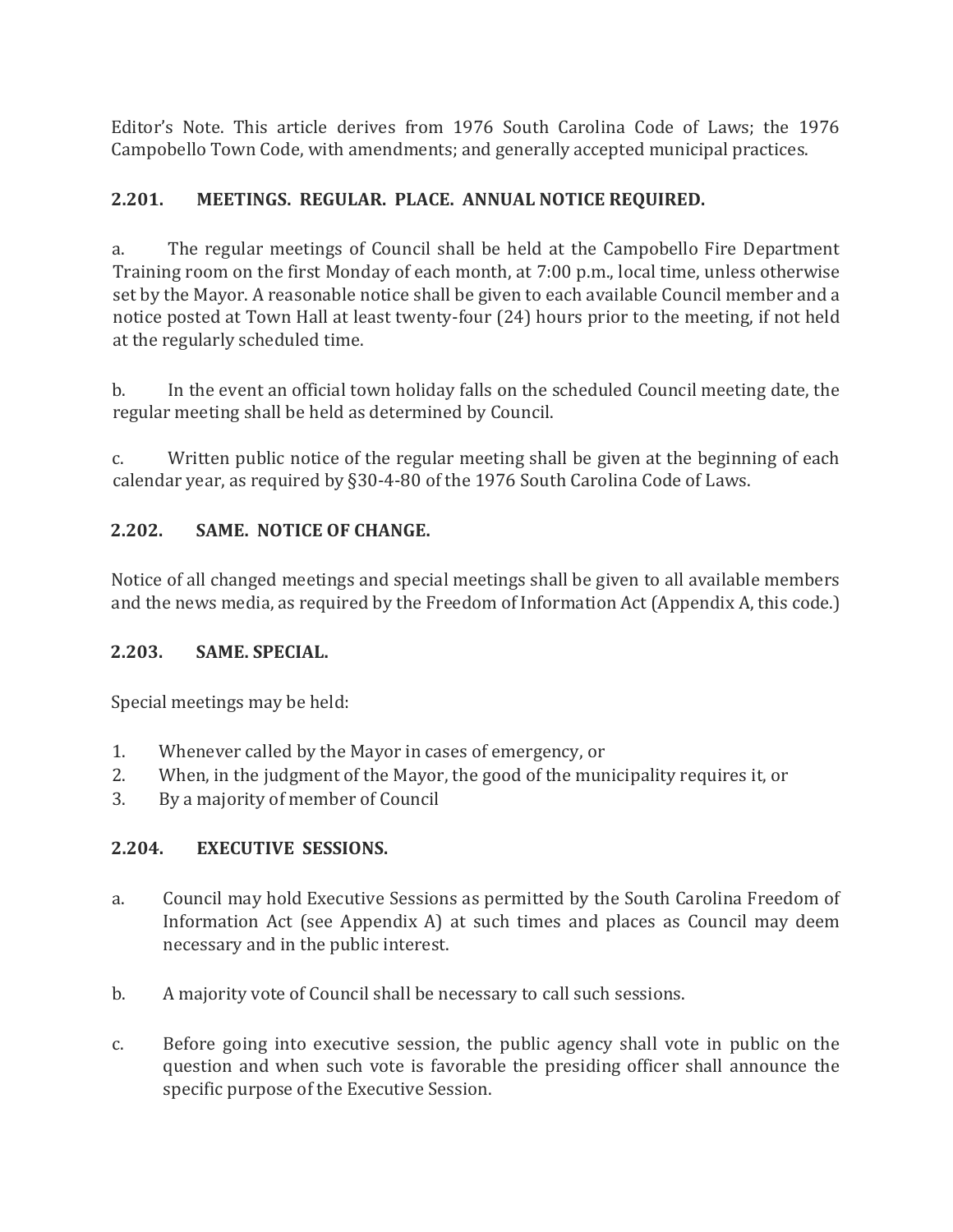Editor's Note. This article derives from 1976 South Carolina Code of Laws; the 1976 Campobello Town Code, with amendments; and generally accepted municipal practices.

## **2.201. MEETINGS. REGULAR. PLACE. ANNUAL NOTICE REQUIRED.**

a. The regular meetings of Council shall be held at the Campobello Fire Department Training room on the first Monday of each month, at 7:00 p.m., local time, unless otherwise set by the Mayor. A reasonable notice shall be given to each available Council member and a notice posted at Town Hall at least twenty-four (24) hours prior to the meeting, if not held at the regularly scheduled time.

b. In the event an official town holiday falls on the scheduled Council meeting date, the regular meeting shall be held as determined by Council.

c. Written public notice of the regular meeting shall be given at the beginning of each calendar year, as required by §30-4-80 of the 1976 South Carolina Code of Laws.

## **2.202. SAME. NOTICE OF CHANGE.**

Notice of all changed meetings and special meetings shall be given to all available members and the news media, as required by the Freedom of Information Act (Appendix A, this code.)

#### **2.203. SAME. SPECIAL.**

Special meetings may be held:

- 1. Whenever called by the Mayor in cases of emergency, or
- 2. When, in the judgment of the Mayor, the good of the municipality requires it, or
- 3. By a majority of member of Council

#### **2.204. EXECUTIVE SESSIONS.**

- a. Council may hold Executive Sessions as permitted by the South Carolina Freedom of Information Act (see Appendix A) at such times and places as Council may deem necessary and in the public interest.
- b. A majority vote of Council shall be necessary to call such sessions.
- c. Before going into executive session, the public agency shall vote in public on the question and when such vote is favorable the presiding officer shall announce the specific purpose of the Executive Session.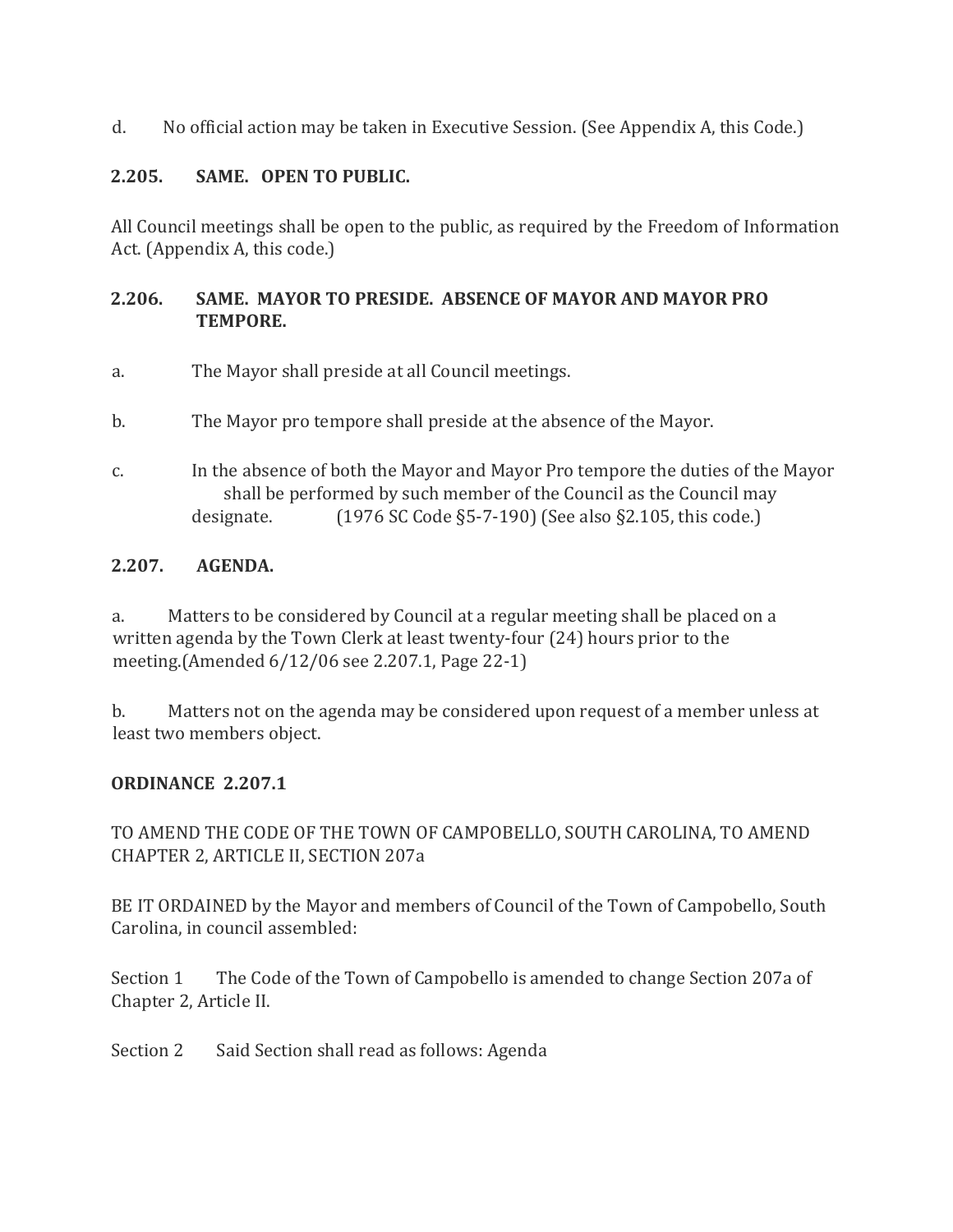d. No official action may be taken in Executive Session. (See Appendix A, this Code.)

## **2.205. SAME. OPEN TO PUBLIC.**

All Council meetings shall be open to the public, as required by the Freedom of Information Act. (Appendix A, this code.)

## **2.206. SAME. MAYOR TO PRESIDE. ABSENCE OF MAYOR AND MAYOR PRO TEMPORE.**

- a. The Mayor shall preside at all Council meetings.
- b. The Mayor pro tempore shall preside at the absence of the Mayor.
- c. In the absence of both the Mayor and Mayor Pro tempore the duties of the Mayor shall be performed by such member of the Council as the Council may designate.  $(1976 \text{ SC Code } \S 5-7-190)$  (See also  $\S 2.105$ , this code.)

## **2.207. AGENDA.**

a. Matters to be considered by Council at a regular meeting shall be placed on a written agenda by the Town Clerk at least twenty-four (24) hours prior to the meeting.(Amended 6/12/06 see 2.207.1, Page 22-1)

b. Matters not on the agenda may be considered upon request of a member unless at least two members object.

#### **ORDINANCE 2.207.1**

TO AMEND THE CODE OF THE TOWN OF CAMPOBELLO, SOUTH CAROLINA, TO AMEND CHAPTER 2, ARTICLE II, SECTION 207a

BE IT ORDAINED by the Mayor and members of Council of the Town of Campobello, South Carolina, in council assembled:

Section 1 The Code of the Town of Campobello is amended to change Section 207a of Chapter 2, Article II.

Section 2 Said Section shall read as follows: Agenda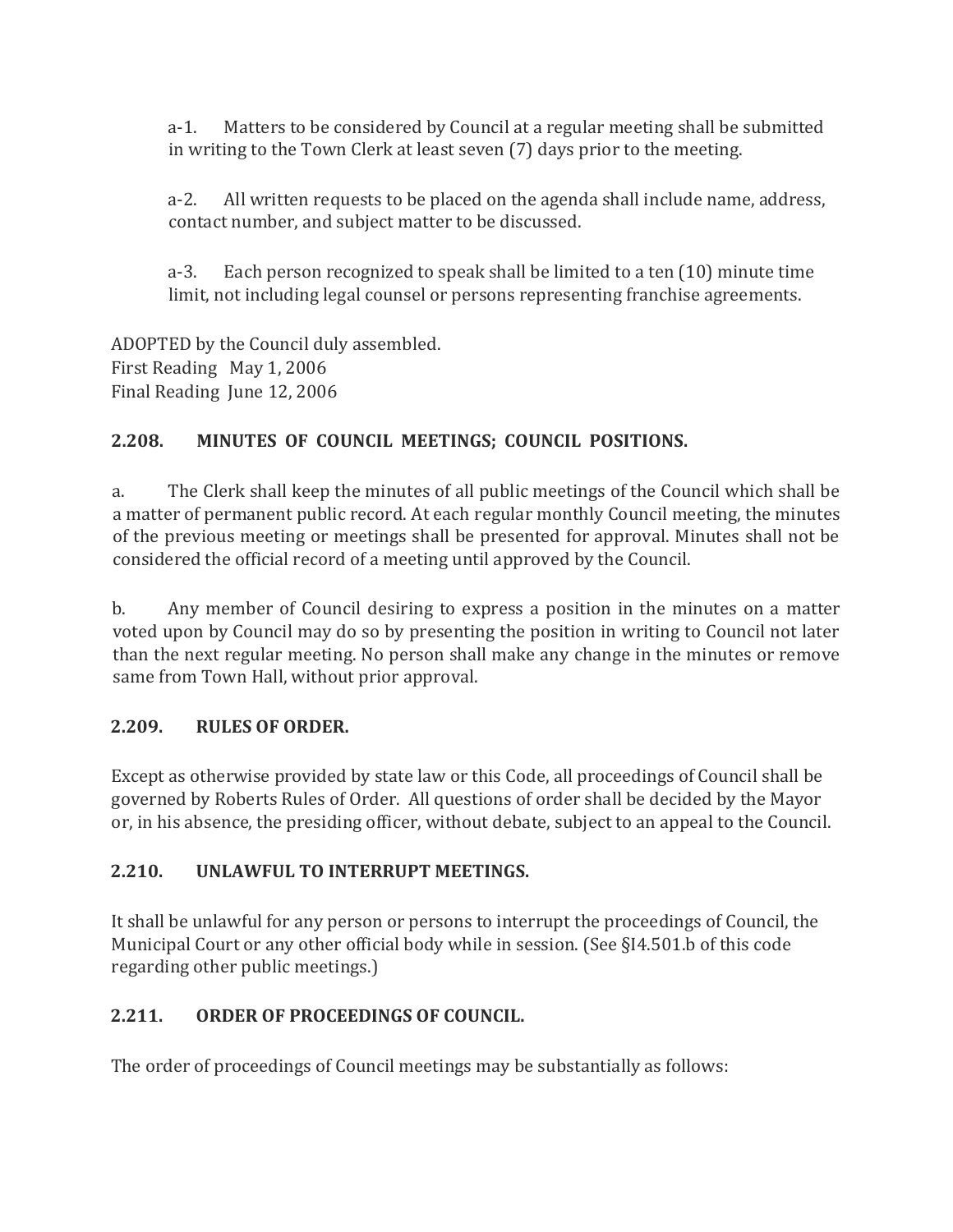a-1. Matters to be considered by Council at a regular meeting shall be submitted in writing to the Town Clerk at least seven (7) days prior to the meeting.

a-2. All written requests to be placed on the agenda shall include name, address, contact number, and subject matter to be discussed.

a-3. Each person recognized to speak shall be limited to a ten (10) minute time limit, not including legal counsel or persons representing franchise agreements.

ADOPTED by the Council duly assembled. First Reading May 1, 2006 Final Reading June 12, 2006

## **2.208. MINUTES OF COUNCIL MEETINGS; COUNCIL POSITIONS.**

a. The Clerk shall keep the minutes of all public meetings of the Council which shall be a matter of permanent public record. At each regular monthly Council meeting, the minutes of the previous meeting or meetings shall be presented for approval. Minutes shall not be considered the official record of a meeting until approved by the Council.

b. Any member of Council desiring to express a position in the minutes on a matter voted upon by Council may do so by presenting the position in writing to Council not later than the next regular meeting. No person shall make any change in the minutes or remove same from Town Hall, without prior approval.

#### **2.209. RULES OF ORDER.**

Except as otherwise provided by state law or this Code, all proceedings of Council shall be governed by Roberts Rules of Order. All questions of order shall be decided by the Mayor or, in his absence, the presiding officer, without debate, subject to an appeal to the Council.

#### **2.210. UNLAWFUL TO INTERRUPT MEETINGS.**

It shall be unlawful for any person or persons to interrupt the proceedings of Council, the Municipal Court or any other official body while in session. (See §I4.501.b of this code regarding other public meetings.)

## **2.211. ORDER OF PROCEEDINGS OF COUNCIL.**

The order of proceedings of Council meetings may be substantially as follows: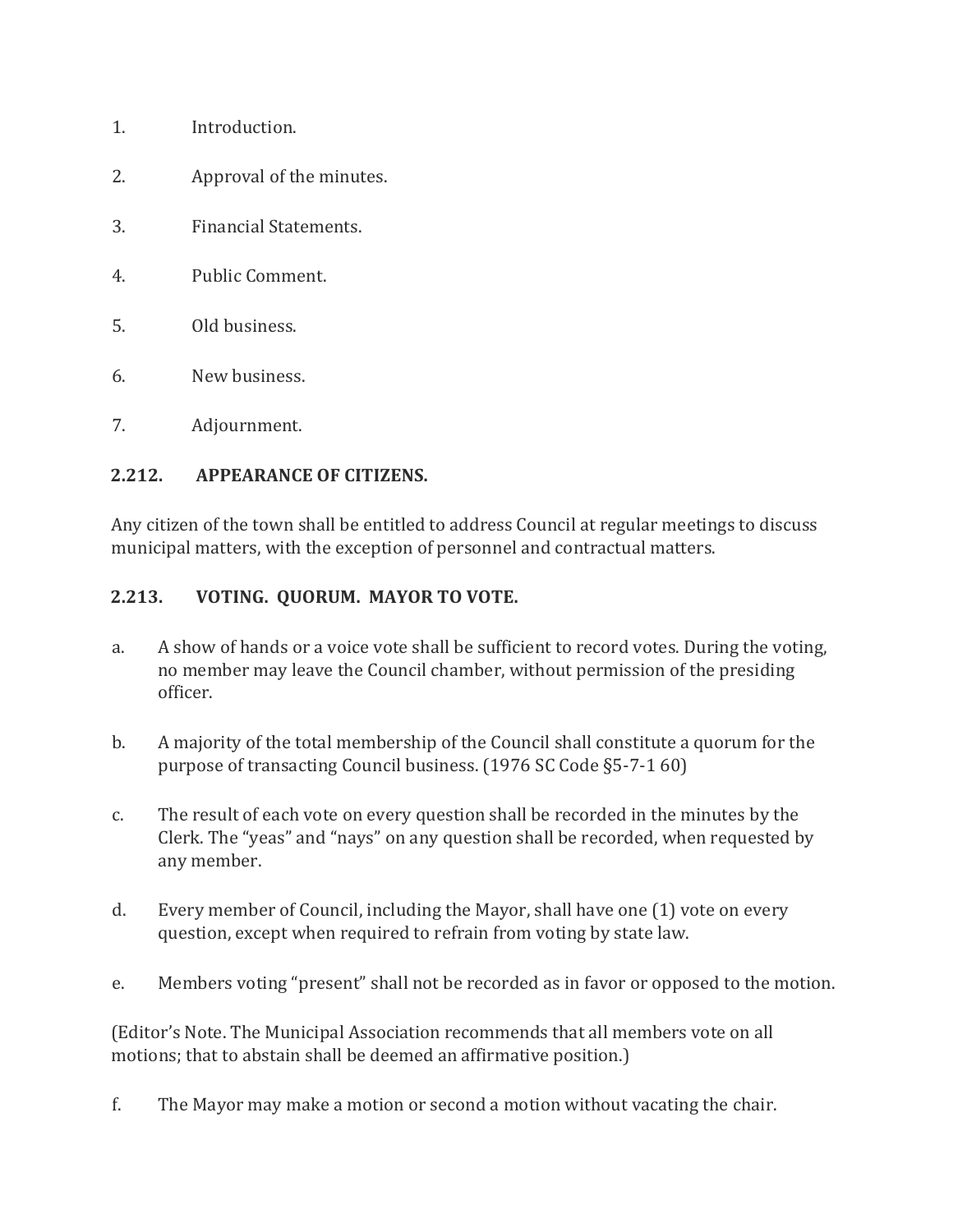- 1. Introduction.
- 2. Approval of the minutes.
- 3. Financial Statements.
- 4. Public Comment.
- 5. Old business.
- 6. New business.
- 7. Adjournment.

#### **2.212. APPEARANCE OF CITIZENS.**

Any citizen of the town shall be entitled to address Council at regular meetings to discuss municipal matters, with the exception of personnel and contractual matters.

#### **2.213. VOTING. QUORUM. MAYOR TO VOTE.**

- a. A show of hands or a voice vote shall be sufficient to record votes. During the voting, no member may leave the Council chamber, without permission of the presiding officer.
- b. A majority of the total membership of the Council shall constitute a quorum for the purpose of transacting Council business. (1976 SC Code §5-7-1 60)
- c. The result of each vote on every question shall be recorded in the minutes by the Clerk. The "yeas" and "nays" on any question shall be recorded, when requested by any member.
- d. Every member of Council, including the Mayor, shall have one (1) vote on every question, except when required to refrain from voting by state law.
- e. Members voting "present" shall not be recorded as in favor or opposed to the motion.

(Editor's Note. The Municipal Association recommends that all members vote on all motions; that to abstain shall be deemed an affirmative position.)

f. The Mayor may make a motion or second a motion without vacating the chair.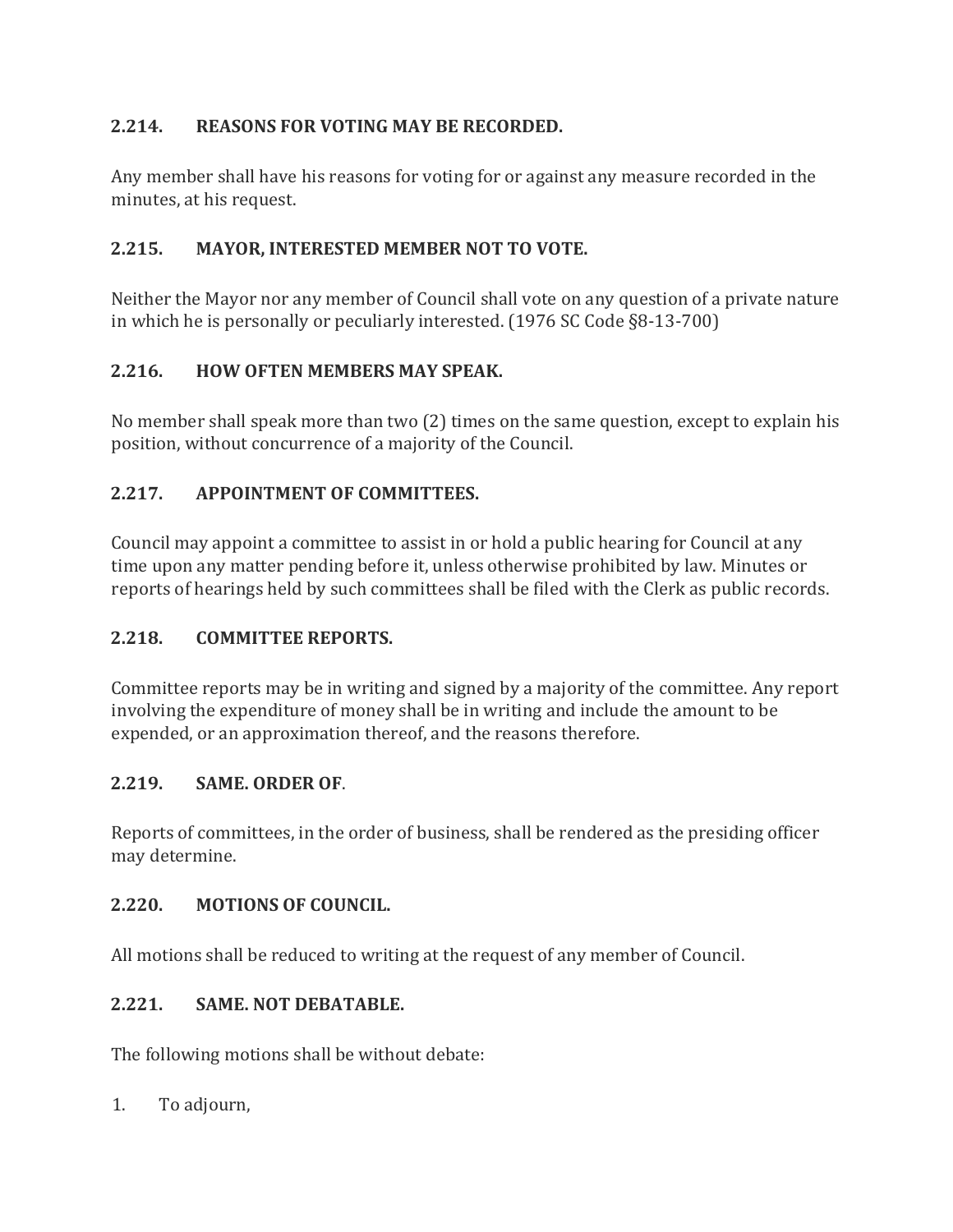## **2.214. REASONS FOR VOTING MAY BE RECORDED.**

Any member shall have his reasons for voting for or against any measure recorded in the minutes, at his request.

## **2.215. MAYOR, INTERESTED MEMBER NOT TO VOTE.**

Neither the Mayor nor any member of Council shall vote on any question of a private nature in which he is personally or peculiarly interested. (1976 SC Code §8-13-700)

## **2.216. HOW OFTEN MEMBERS MAY SPEAK.**

No member shall speak more than two (2) times on the same question, except to explain his position, without concurrence of a majority of the Council.

## **2.217. APPOINTMENT OF COMMITTEES.**

Council may appoint a committee to assist in or hold a public hearing for Council at any time upon any matter pending before it, unless otherwise prohibited by law. Minutes or reports of hearings held by such committees shall be filed with the Clerk as public records.

#### **2.218. COMMITTEE REPORTS.**

Committee reports may be in writing and signed by a majority of the committee. Any report involving the expenditure of money shall be in writing and include the amount to be expended, or an approximation thereof, and the reasons therefore.

#### **2.219. SAME. ORDER OF**.

Reports of committees, in the order of business, shall be rendered as the presiding officer may determine.

#### **2.220. MOTIONS OF COUNCIL.**

All motions shall be reduced to writing at the request of any member of Council.

## **2.221. SAME. NOT DEBATABLE.**

The following motions shall be without debate:

1. To adjourn,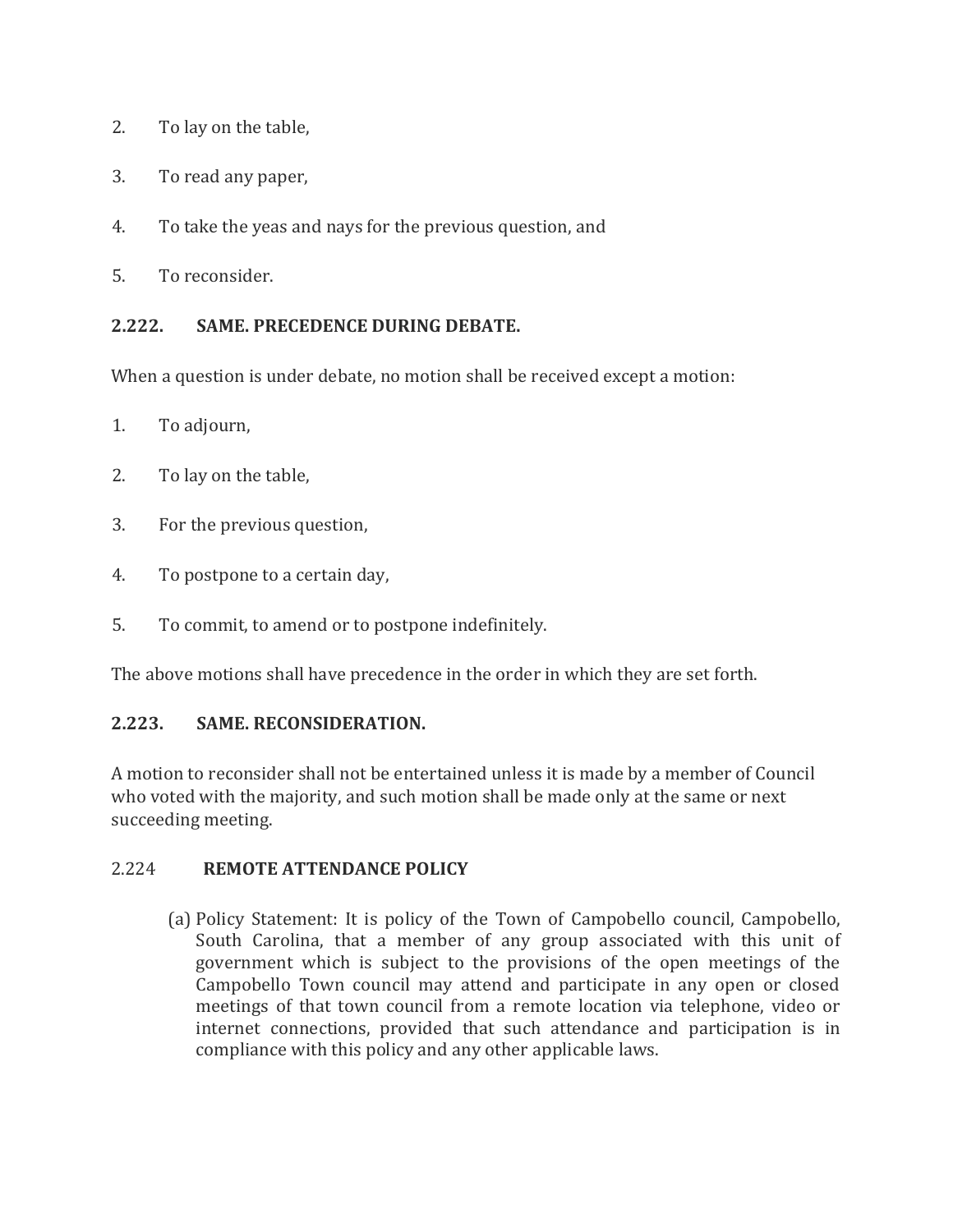- 2. To lay on the table,
- 3. To read any paper,
- 4. To take the yeas and nays for the previous question, and
- 5. To reconsider.

#### **2.222. SAME. PRECEDENCE DURING DEBATE.**

When a question is under debate, no motion shall be received except a motion:

- 1. To adjourn,
- 2. To lay on the table,
- 3. For the previous question,
- 4. To postpone to a certain day,
- 5. To commit, to amend or to postpone indefinitely.

The above motions shall have precedence in the order in which they are set forth.

## **2.223. SAME. RECONSIDERATION.**

A motion to reconsider shall not be entertained unless it is made by a member of Council who voted with the majority, and such motion shall be made only at the same or next succeeding meeting.

#### 2.224 **REMOTE ATTENDANCE POLICY**

(a) Policy Statement: It is policy of the Town of Campobello council, Campobello, South Carolina, that a member of any group associated with this unit of government which is subject to the provisions of the open meetings of the Campobello Town council may attend and participate in any open or closed meetings of that town council from a remote location via telephone, video or internet connections, provided that such attendance and participation is in compliance with this policy and any other applicable laws.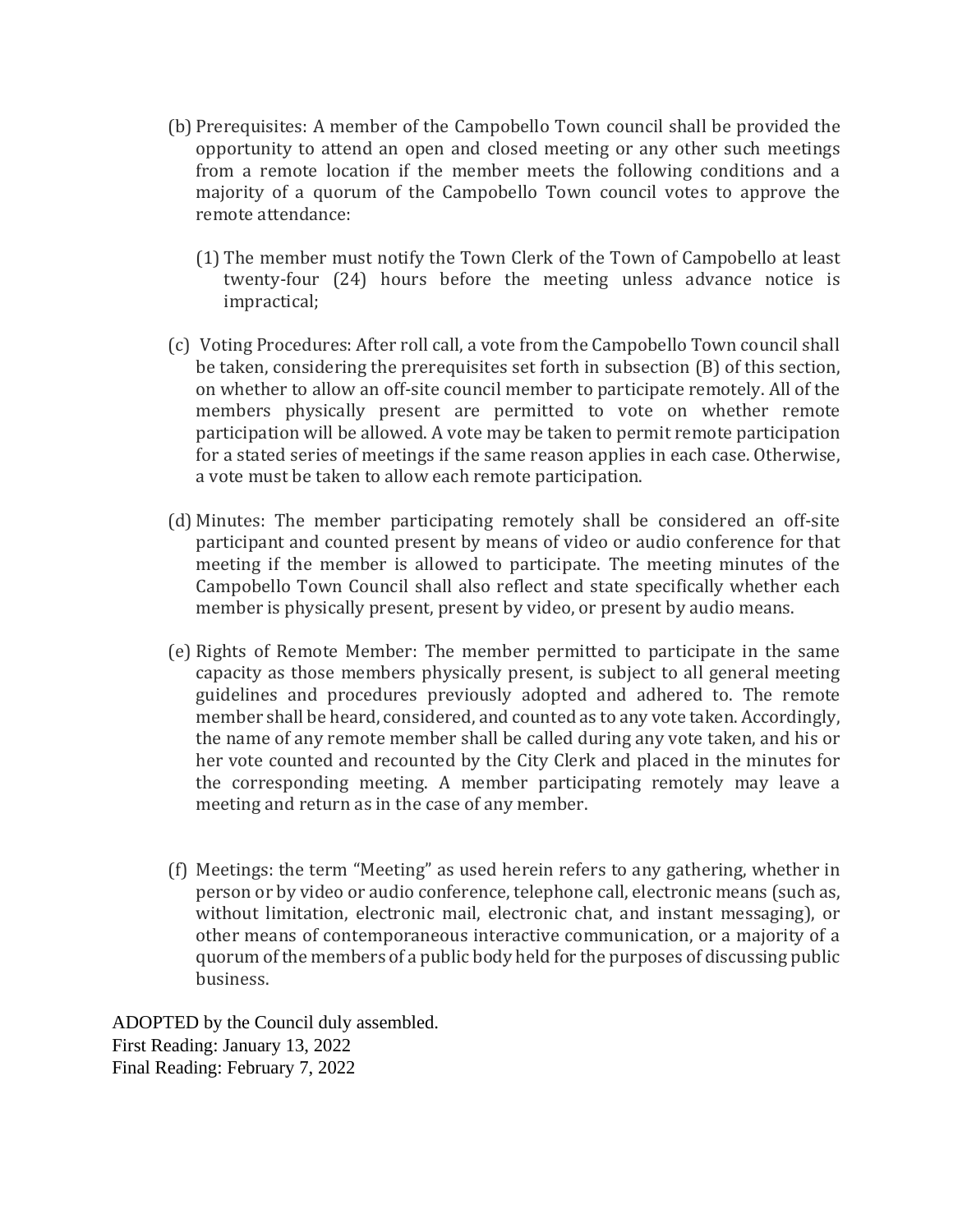- (b) Prerequisites: A member of the Campobello Town council shall be provided the opportunity to attend an open and closed meeting or any other such meetings from a remote location if the member meets the following conditions and a majority of a quorum of the Campobello Town council votes to approve the remote attendance:
	- (1) The member must notify the Town Clerk of the Town of Campobello at least twenty-four (24) hours before the meeting unless advance notice is impractical;
- (c) Voting Procedures: After roll call, a vote from the Campobello Town council shall be taken, considering the prerequisites set forth in subsection (B) of this section, on whether to allow an off-site council member to participate remotely. All of the members physically present are permitted to vote on whether remote participation will be allowed. A vote may be taken to permit remote participation for a stated series of meetings if the same reason applies in each case. Otherwise, a vote must be taken to allow each remote participation.
- (d) Minutes: The member participating remotely shall be considered an off-site participant and counted present by means of video or audio conference for that meeting if the member is allowed to participate. The meeting minutes of the Campobello Town Council shall also reflect and state specifically whether each member is physically present, present by video, or present by audio means.
- (e) Rights of Remote Member: The member permitted to participate in the same capacity as those members physically present, is subject to all general meeting guidelines and procedures previously adopted and adhered to. The remote member shall be heard, considered, and counted as to any vote taken. Accordingly, the name of any remote member shall be called during any vote taken, and his or her vote counted and recounted by the City Clerk and placed in the minutes for the corresponding meeting. A member participating remotely may leave a meeting and return as in the case of any member.
- (f) Meetings: the term "Meeting" as used herein refers to any gathering, whether in person or by video or audio conference, telephone call, electronic means (such as, without limitation, electronic mail, electronic chat, and instant messaging), or other means of contemporaneous interactive communication, or a majority of a quorum of the members of a public body held for the purposes of discussing public business.

ADOPTED by the Council duly assembled. First Reading: January 13, 2022 Final Reading: February 7, 2022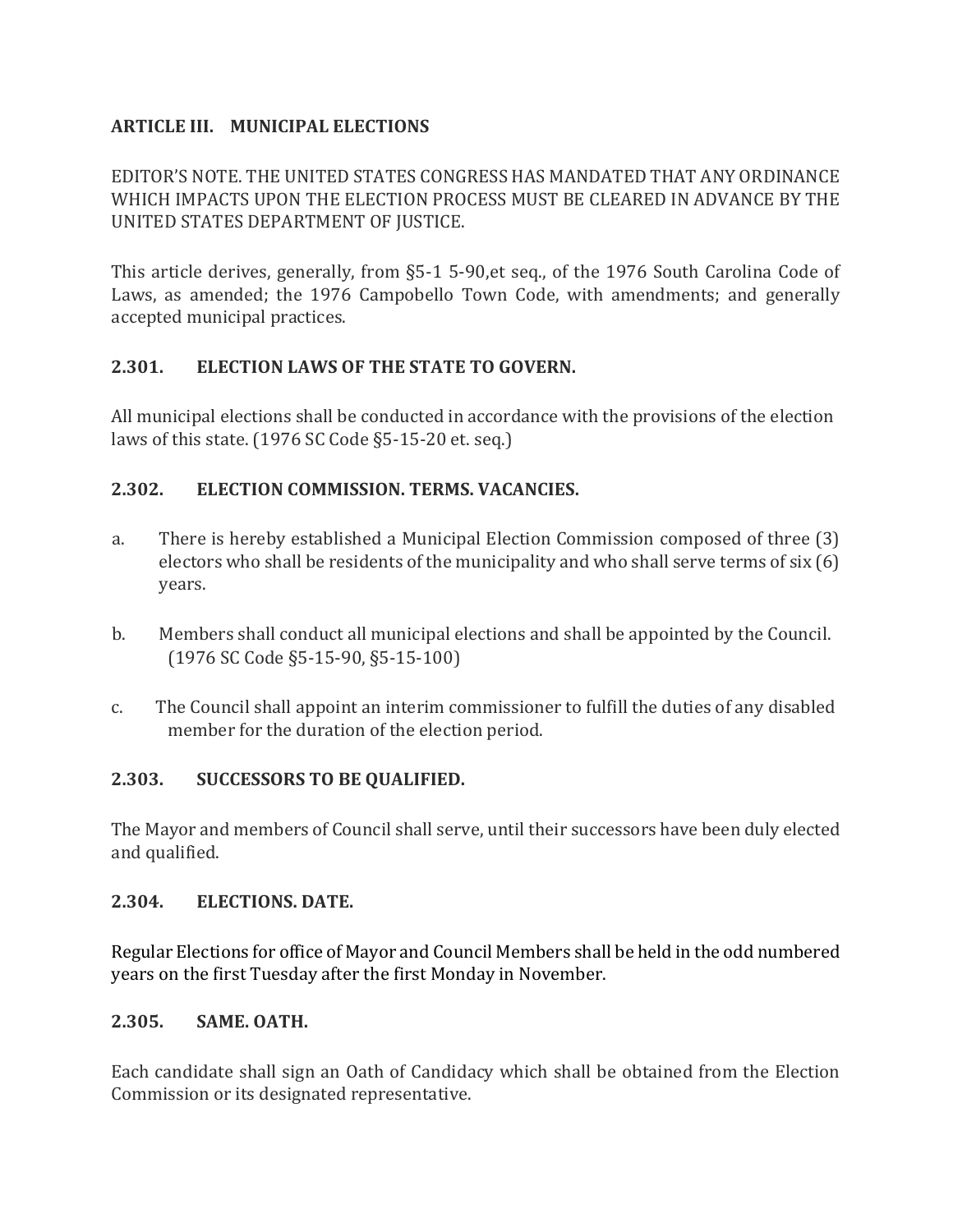#### **ARTICLE III. MUNICIPAL ELECTIONS**

EDITOR'S NOTE. THE UNITED STATES CONGRESS HAS MANDATED THAT ANY ORDINANCE WHICH IMPACTS UPON THE ELECTION PROCESS MUST BE CLEARED IN ADVANCE BY THE UNITED STATES DEPARTMENT OF JUSTICE.

This article derives, generally, from §5-1 5-90,et seq., of the 1976 South Carolina Code of Laws, as amended; the 1976 Campobello Town Code, with amendments; and generally accepted municipal practices.

#### **2.301. ELECTION LAWS OF THE STATE TO GOVERN.**

All municipal elections shall be conducted in accordance with the provisions of the election laws of this state. (1976 SC Code §5-15-20 et. seq.)

#### **2.302. ELECTION COMMISSION. TERMS. VACANCIES.**

- a. There is hereby established a Municipal Election Commission composed of three (3) electors who shall be residents of the municipality and who shall serve terms of six (6) years.
- b. Members shall conduct all municipal elections and shall be appointed by the Council. (1976 SC Code §5-15-90, §5-15-100)
- c. The Council shall appoint an interim commissioner to fulfill the duties of any disabled member for the duration of the election period.

#### **2.303. SUCCESSORS TO BE QUALIFIED.**

The Mayor and members of Council shall serve, until their successors have been duly elected and qualified.

#### **2.304. ELECTIONS. DATE.**

Regular Elections for office of Mayor and Council Members shall be held in the odd numbered years on the first Tuesday after the first Monday in November.

#### **2.305. SAME. OATH.**

Each candidate shall sign an Oath of Candidacy which shall be obtained from the Election Commission or its designated representative.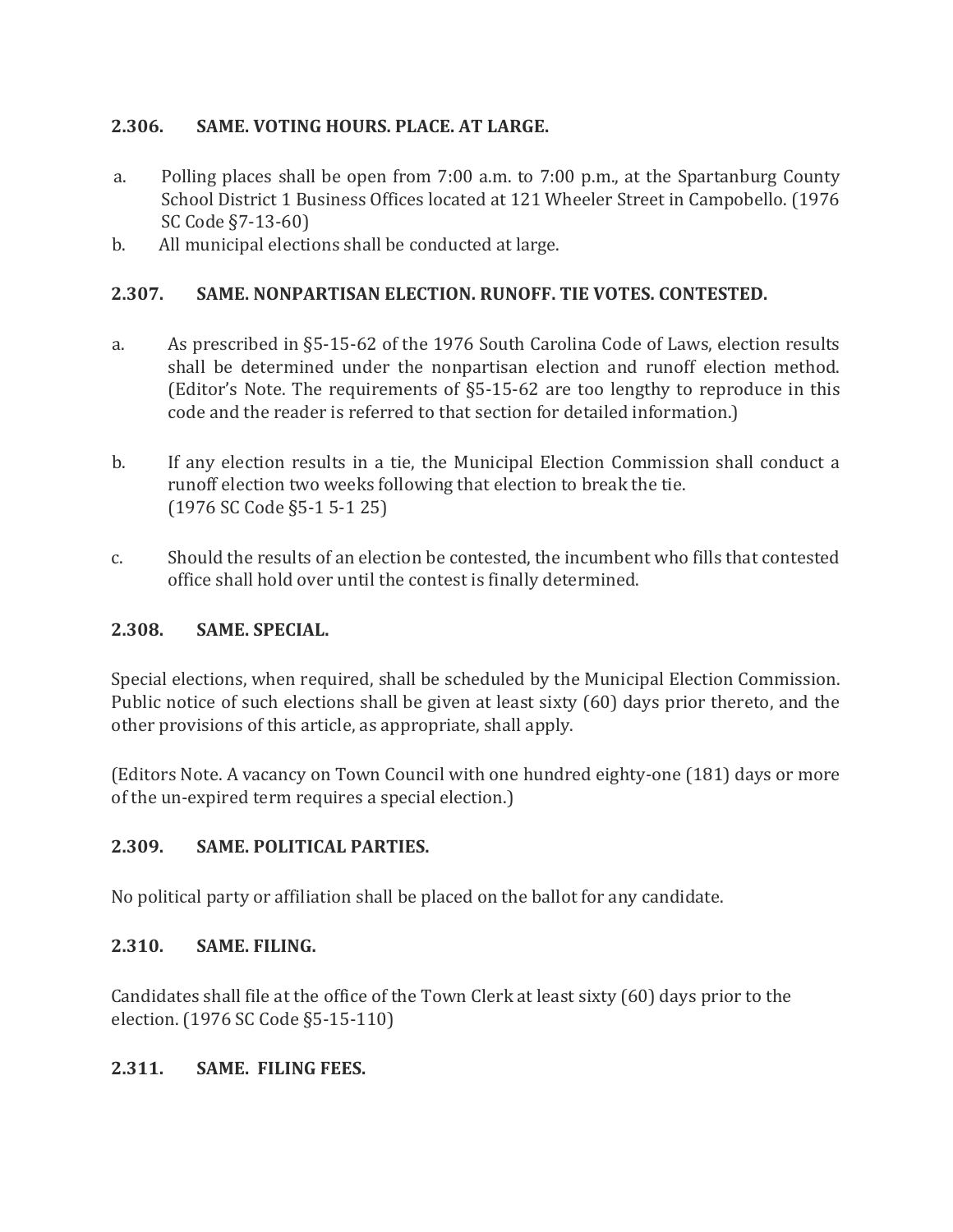#### **2.306. SAME. VOTING HOURS. PLACE. AT LARGE.**

- a. Polling places shall be open from 7:00 a.m. to 7:00 p.m., at the Spartanburg County School District 1 Business Offices located at 121 Wheeler Street in Campobello. (1976 SC Code §7-13-60)
- b. All municipal elections shall be conducted at large.

#### **2.307. SAME. NONPARTISAN ELECTION. RUNOFF. TIE VOTES. CONTESTED.**

- a. As prescribed in §5-15-62 of the 1976 South Carolina Code of Laws, election results shall be determined under the nonpartisan election and runoff election method. (Editor's Note. The requirements of §5-15-62 are too lengthy to reproduce in this code and the reader is referred to that section for detailed information.)
- b. If any election results in a tie, the Municipal Election Commission shall conduct a runoff election two weeks following that election to break the tie. (1976 SC Code §5-1 5-1 25)
- c. Should the results of an election be contested, the incumbent who fills that contested office shall hold over until the contest is finally determined.

#### **2.308. SAME. SPECIAL.**

Special elections, when required, shall be scheduled by the Municipal Election Commission. Public notice of such elections shall be given at least sixty (60) days prior thereto, and the other provisions of this article, as appropriate, shall apply.

(Editors Note. A vacancy on Town Council with one hundred eighty-one (181) days or more of the un-expired term requires a special election.)

#### **2.309. SAME. POLITICAL PARTIES.**

No political party or affiliation shall be placed on the ballot for any candidate.

#### **2.310. SAME. FILING.**

Candidates shall file at the office of the Town Clerk at least sixty (60) days prior to the election. (1976 SC Code §5-15-110)

#### **2.311. SAME. FILING FEES.**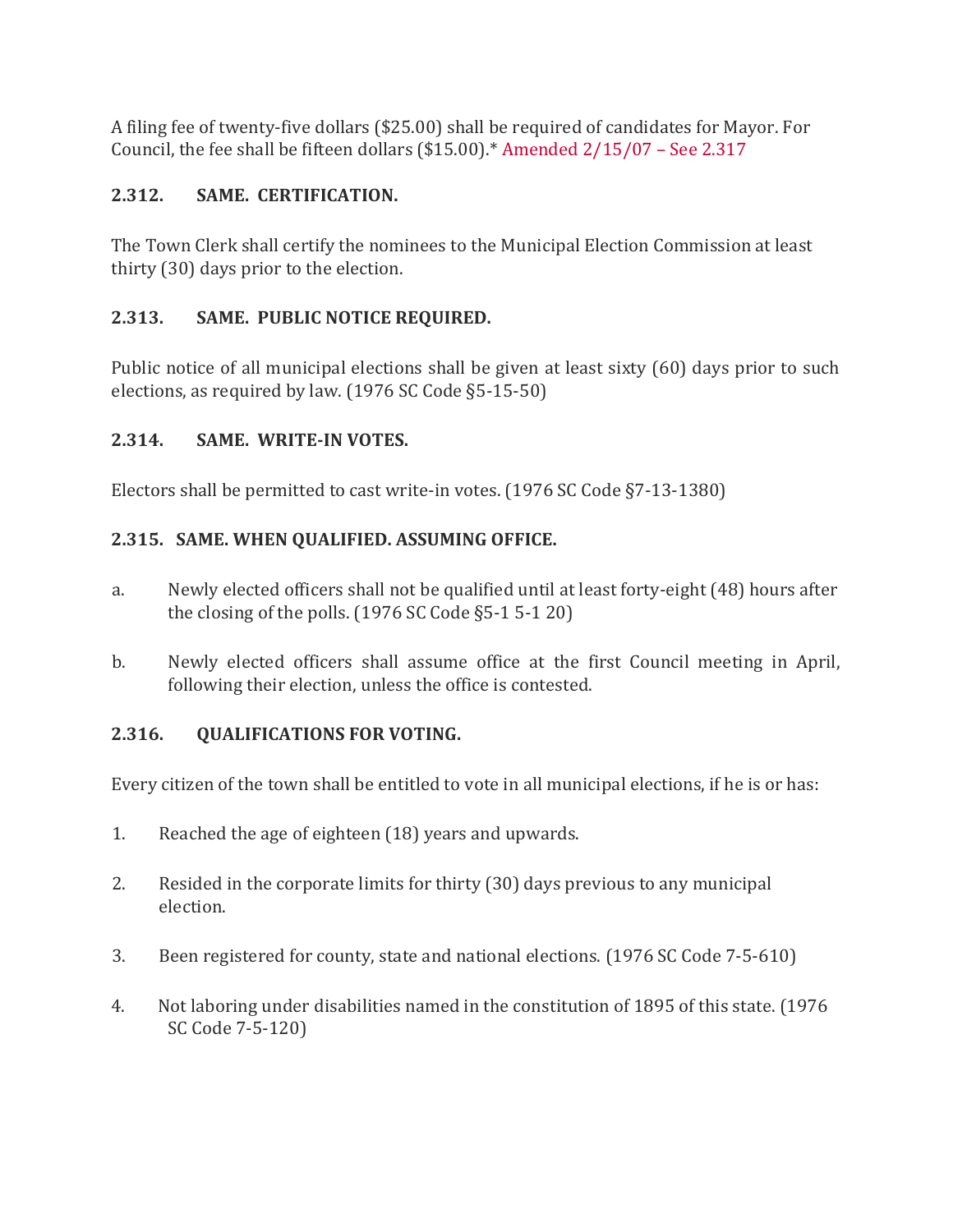A filing fee of twenty-five dollars (\$25.00) shall be required of candidates for Mayor. For Council, the fee shall be fifteen dollars (\$15.00).\* Amended 2/15/07 – See 2.317

## **2.312. SAME. CERTIFICATION.**

The Town Clerk shall certify the nominees to the Municipal Election Commission at least thirty (30) days prior to the election.

## **2.313. SAME. PUBLIC NOTICE REQUIRED.**

Public notice of all municipal elections shall be given at least sixty (60) days prior to such elections, as required by law. (1976 SC Code §5-15-50)

#### **2.314. SAME. WRITE-IN VOTES.**

Electors shall be permitted to cast write-in votes. (1976 SC Code §7-13-1380)

## **2.315. SAME. WHEN QUALIFIED. ASSUMING OFFICE.**

- a. Newly elected officers shall not be qualified until at least forty-eight (48) hours after the closing of the polls. (1976 SC Code §5-1 5-1 20)
- b. Newly elected officers shall assume office at the first Council meeting in April, following their election, unless the office is contested.

#### **2.316. QUALIFICATIONS FOR VOTING.**

Every citizen of the town shall be entitled to vote in all municipal elections, if he is or has:

- 1. Reached the age of eighteen (18) years and upwards.
- 2. Resided in the corporate limits for thirty (30) days previous to any municipal election.
- 3. Been registered for county, state and national elections. (1976 SC Code 7-5-610)
- 4. Not laboring under disabilities named in the constitution of 1895 of this state. (1976 SC Code 7-5-120)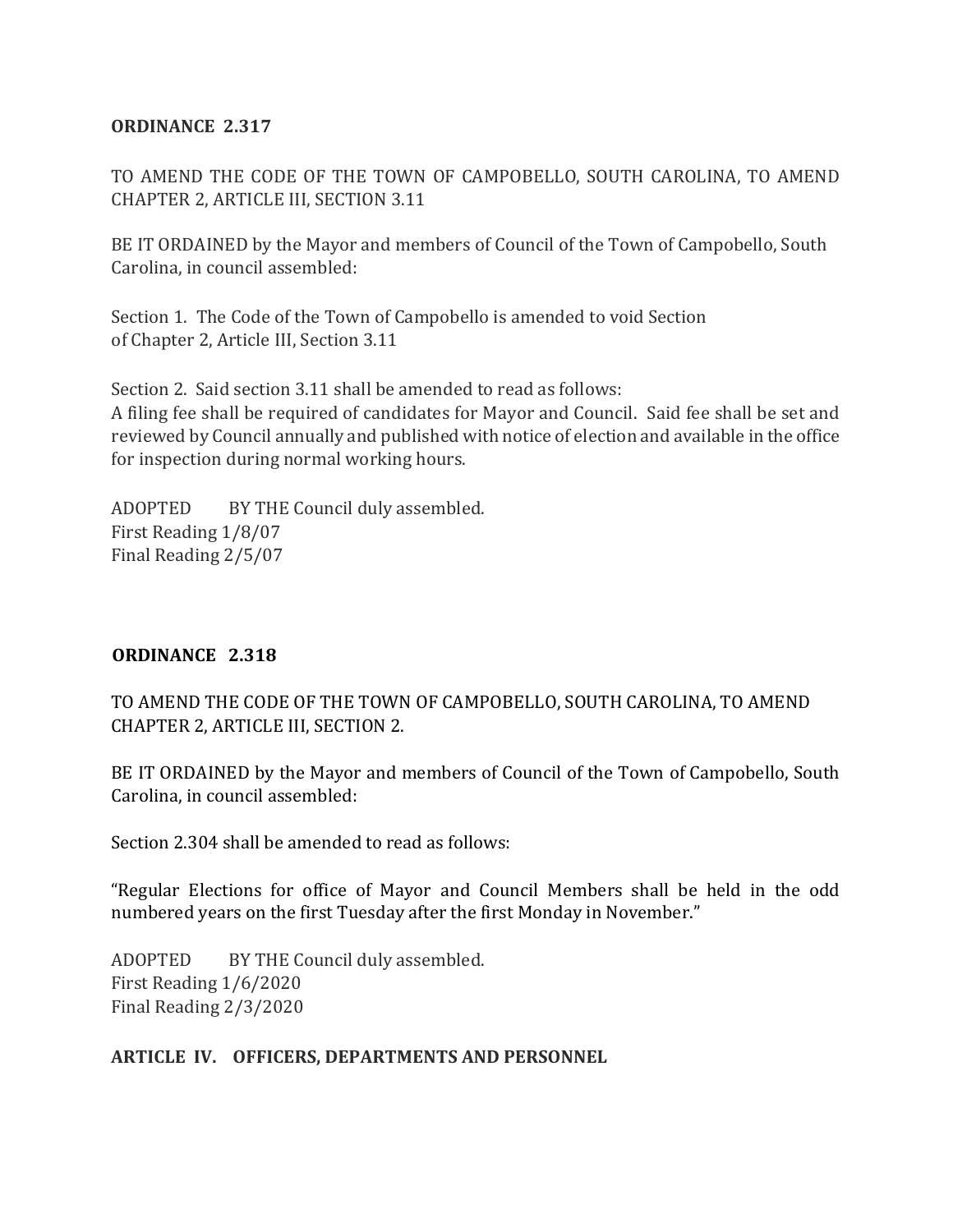#### **ORDINANCE 2.317**

TO AMEND THE CODE OF THE TOWN OF CAMPOBELLO, SOUTH CAROLINA, TO AMEND CHAPTER 2, ARTICLE III, SECTION 3.11

BE IT ORDAINED by the Mayor and members of Council of the Town of Campobello, South Carolina, in council assembled:

Section 1. The Code of the Town of Campobello is amended to void Section of Chapter 2, Article III, Section 3.11

Section 2. Said section 3.11 shall be amended to read as follows: A filing fee shall be required of candidates for Mayor and Council. Said fee shall be set and reviewed by Council annually and published with notice of election and available in the office for inspection during normal working hours.

ADOPTED BY THE Council duly assembled. First Reading 1/8/07 Final Reading 2/5/07

#### **ORDINANCE 2.318**

TO AMEND THE CODE OF THE TOWN OF CAMPOBELLO, SOUTH CAROLINA, TO AMEND CHAPTER 2, ARTICLE III, SECTION 2.

BE IT ORDAINED by the Mayor and members of Council of the Town of Campobello, South Carolina, in council assembled:

Section 2.304 shall be amended to read as follows:

"Regular Elections for office of Mayor and Council Members shall be held in the odd numbered years on the first Tuesday after the first Monday in November."

ADOPTED BY THE Council duly assembled. First Reading 1/6/2020 Final Reading 2/3/2020

#### **ARTICLE IV. OFFICERS, DEPARTMENTS AND PERSONNEL**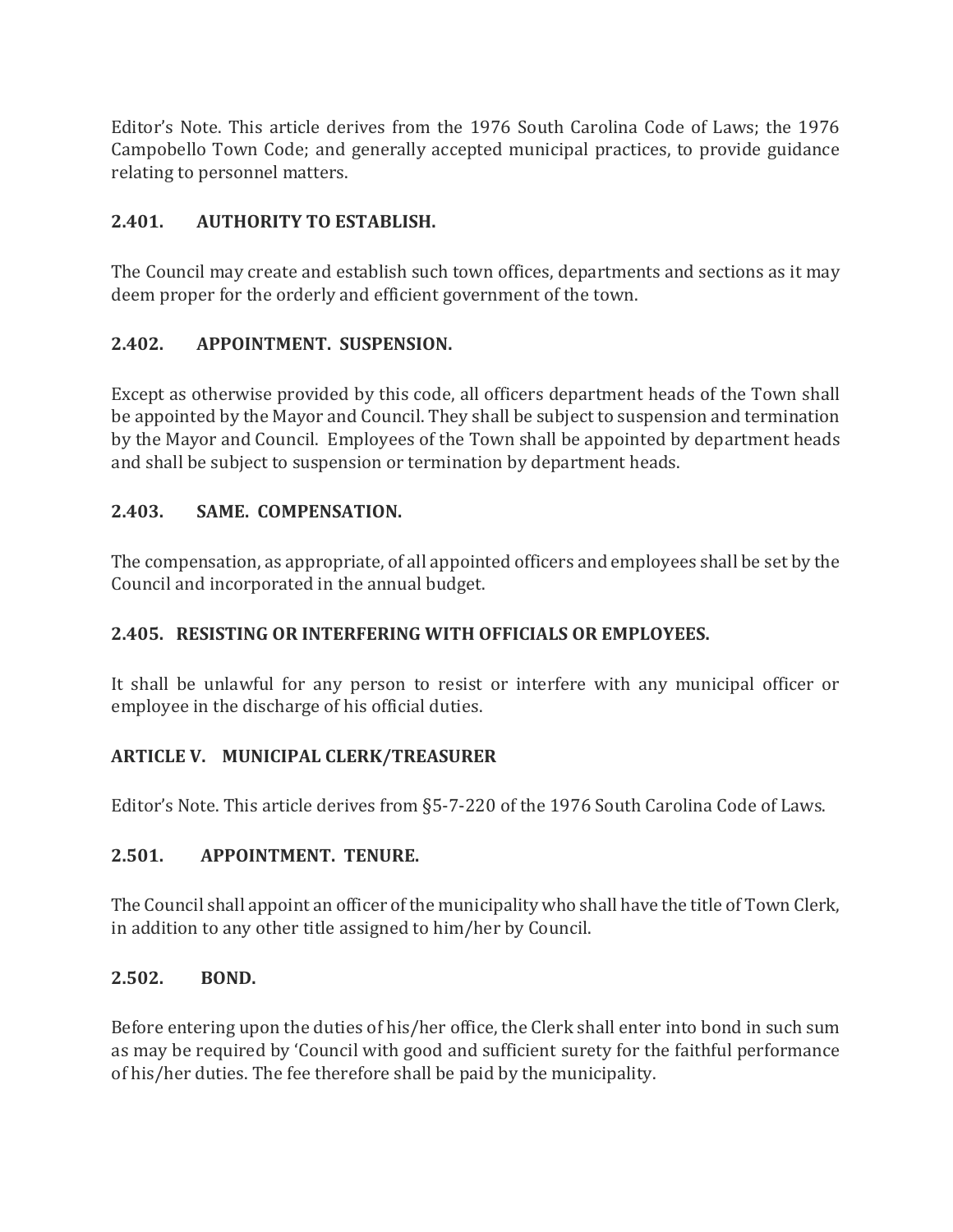Editor's Note. This article derives from the 1976 South Carolina Code of Laws; the 1976 Campobello Town Code; and generally accepted municipal practices, to provide guidance relating to personnel matters.

## **2.401. AUTHORITY TO ESTABLISH.**

The Council may create and establish such town offices, departments and sections as it may deem proper for the orderly and efficient government of the town.

## **2.402. APPOINTMENT. SUSPENSION.**

Except as otherwise provided by this code, all officers department heads of the Town shall be appointed by the Mayor and Council. They shall be subject to suspension and termination by the Mayor and Council. Employees of the Town shall be appointed by department heads and shall be subject to suspension or termination by department heads.

#### **2.403. SAME. COMPENSATION.**

The compensation, as appropriate, of all appointed officers and employees shall be set by the Council and incorporated in the annual budget.

#### **2.405. RESISTING OR INTERFERING WITH OFFICIALS OR EMPLOYEES.**

It shall be unlawful for any person to resist or interfere with any municipal officer or employee in the discharge of his official duties.

#### **ARTICLE V. MUNICIPAL CLERK/TREASURER**

Editor's Note. This article derives from §5-7-220 of the 1976 South Carolina Code of Laws.

#### **2.501. APPOINTMENT. TENURE.**

The Council shall appoint an officer of the municipality who shall have the title of Town Clerk, in addition to any other title assigned to him/her by Council.

#### **2.502. BOND.**

Before entering upon the duties of his/her office, the Clerk shall enter into bond in such sum as may be required by 'Council with good and sufficient surety for the faithful performance of his/her duties. The fee therefore shall be paid by the municipality.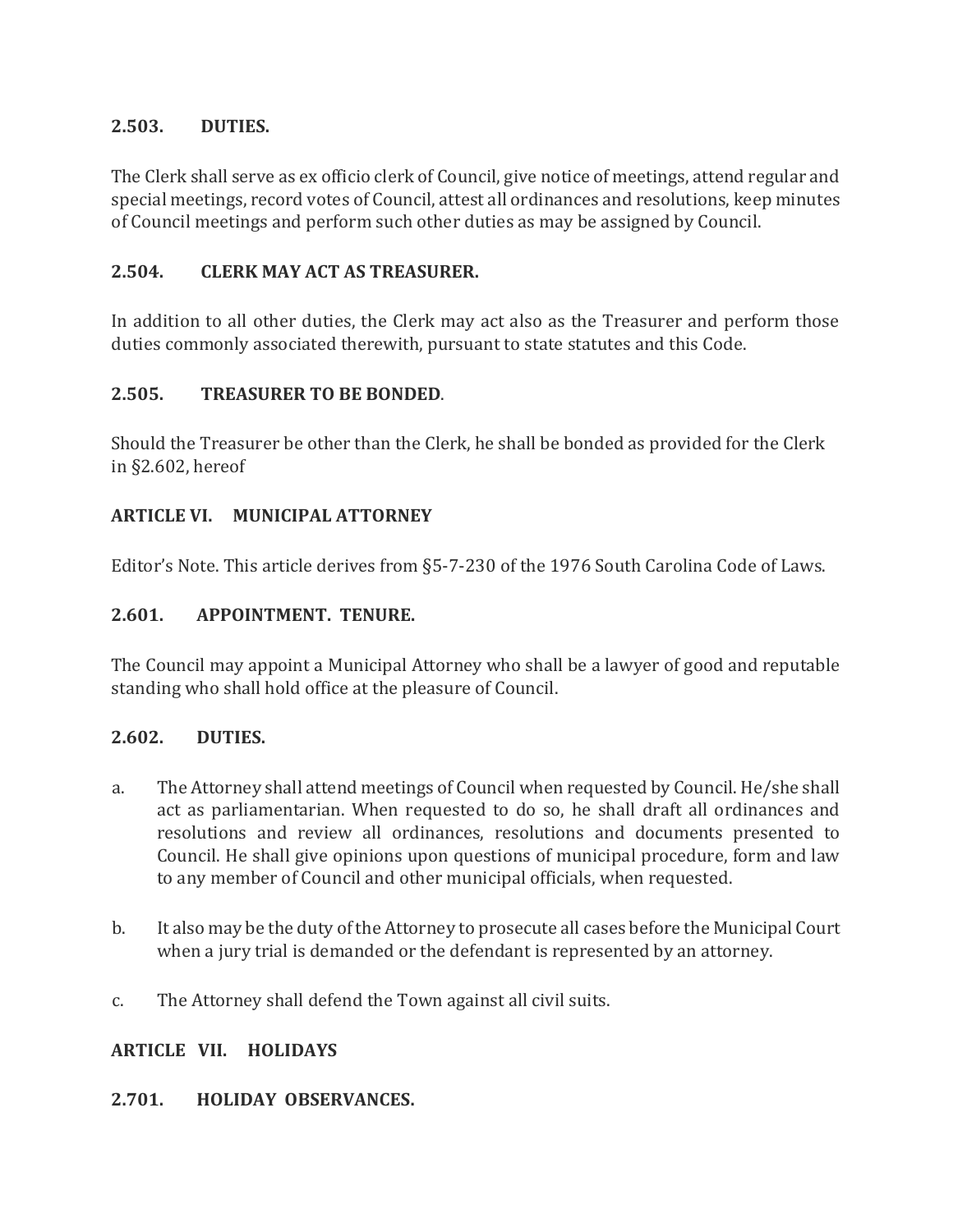#### **2.503. DUTIES.**

The Clerk shall serve as ex officio clerk of Council, give notice of meetings, attend regular and special meetings, record votes of Council, attest all ordinances and resolutions, keep minutes of Council meetings and perform such other duties as may be assigned by Council.

#### **2.504. CLERK MAY ACT AS TREASURER.**

In addition to all other duties, the Clerk may act also as the Treasurer and perform those duties commonly associated therewith, pursuant to state statutes and this Code.

#### **2.505. TREASURER TO BE BONDED**.

Should the Treasurer be other than the Clerk, he shall be bonded as provided for the Clerk in §2.602, hereof

#### **ARTICLE VI. MUNICIPAL ATTORNEY**

Editor's Note. This article derives from §5-7-230 of the 1976 South Carolina Code of Laws.

#### **2.601. APPOINTMENT. TENURE.**

The Council may appoint a Municipal Attorney who shall be a lawyer of good and reputable standing who shall hold office at the pleasure of Council.

#### **2.602. DUTIES.**

- a. The Attorney shall attend meetings of Council when requested by Council. He/she shall act as parliamentarian. When requested to do so, he shall draft all ordinances and resolutions and review all ordinances, resolutions and documents presented to Council. He shall give opinions upon questions of municipal procedure, form and law to any member of Council and other municipal officials, when requested.
- b. It also may be the duty of the Attorney to prosecute all cases before the Municipal Court when a jury trial is demanded or the defendant is represented by an attorney.
- c. The Attorney shall defend the Town against all civil suits.

#### **ARTICLE VII. HOLIDAYS**

#### **2.701. HOLIDAY OBSERVANCES.**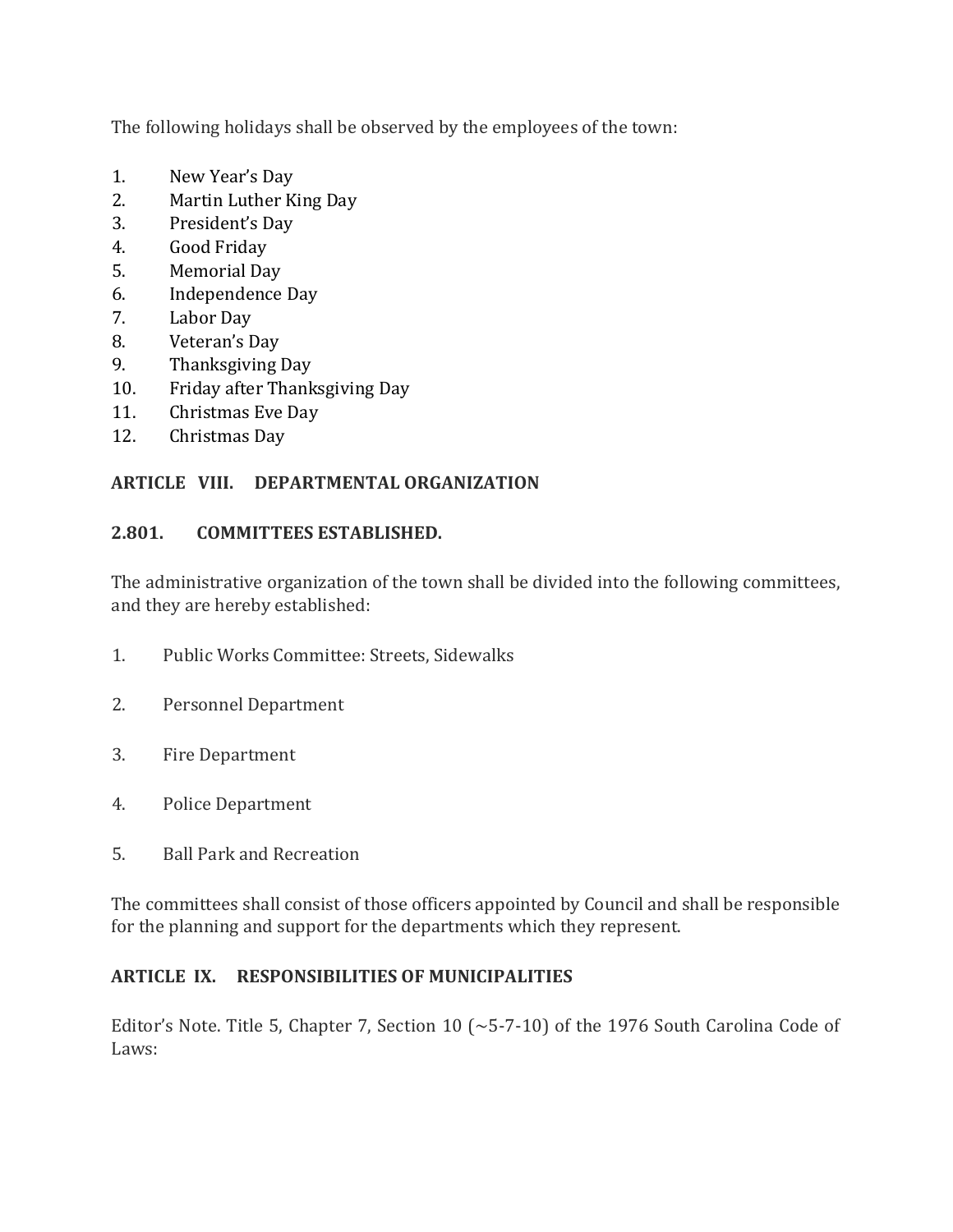The following holidays shall be observed by the employees of the town:

- 1. New Year's Day
- 2. Martin Luther King Day
- 3. President's Day
- 4. Good Friday
- 5. Memorial Day
- 6. Independence Day
- 7. Labor Day
- 8. Veteran's Day
- 9. Thanksgiving Day
- 10. Friday after Thanksgiving Day
- 11. Christmas Eve Day
- 12. Christmas Day

## **ARTICLE VIII. DEPARTMENTAL ORGANIZATION**

## **2.801. COMMITTEES ESTABLISHED.**

The administrative organization of the town shall be divided into the following committees, and they are hereby established:

- 1. Public Works Committee: Streets, Sidewalks
- 2. Personnel Department
- 3. Fire Department
- 4. Police Department
- 5. Ball Park and Recreation

The committees shall consist of those officers appointed by Council and shall be responsible for the planning and support for the departments which they represent.

## **ARTICLE IX. RESPONSIBILITIES OF MUNICIPALITIES**

Editor's Note. Title 5, Chapter 7, Section 10 ( $\sim$  5-7-10) of the 1976 South Carolina Code of Laws: